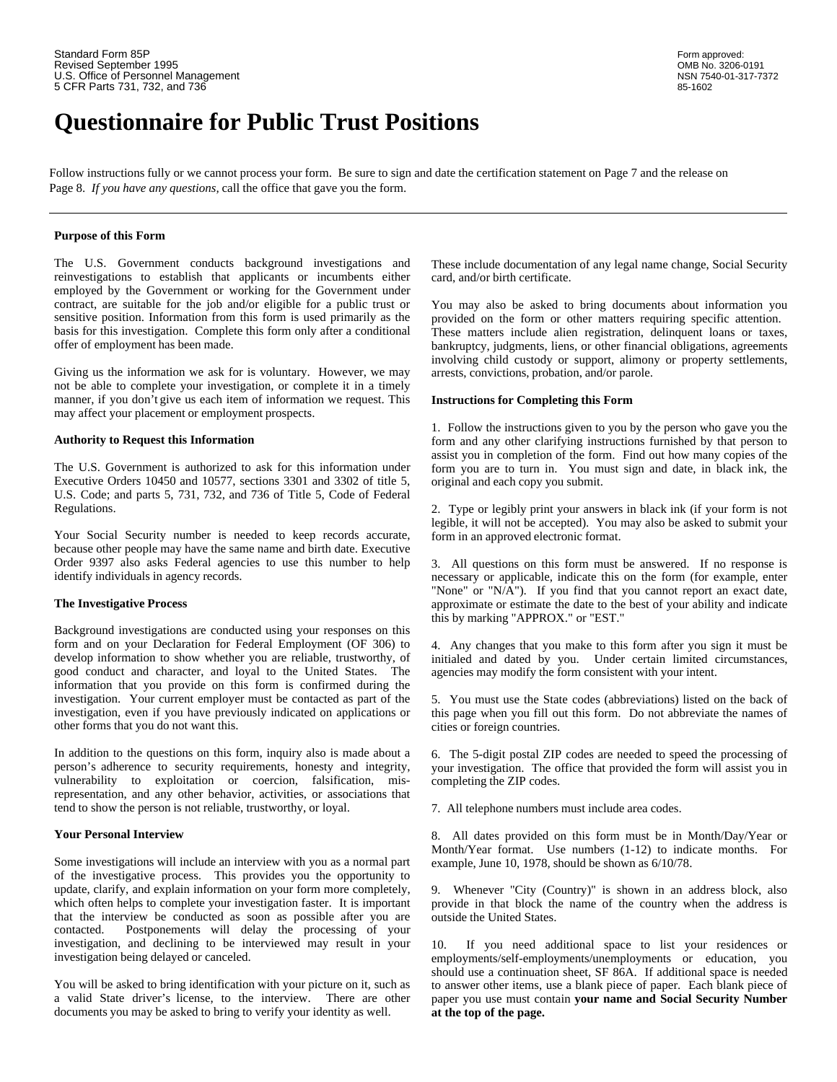# **Questionnaire for Public Trust Positions**

Follow instructions fully or we cannot process your form. Be sure to sign and date the certification statement on Page 7 and the release on Page 8. *If you have any questions,* call the office that gave you the form.

### **Purpose of this Form**

The U.S. Government conducts background investigations and reinvestigations to establish that applicants or incumbents either employed by the Government or working for the Government under contract, are suitable for the job and/or eligible for a public trust or sensitive position. Information from this form is used primarily as the basis for this investigation. Complete this form only after a conditional offer of employment has been made.

Giving us the information we ask for is voluntary. However, we may arrests, convictions, probation, and/or parole. not be able to complete your investigation, or complete it in a timely manner, if you don't give us each item of information we request. This may affect your placement or employment prospects.

### **Authority to Request this Information**

The U.S. Government is authorized to ask for this information under Executive Orders 10450 and 10577, sections 3301 and 3302 of title 5, U.S. Code; and parts 5, 731, 732, and 736 of Title 5, Code of Federal Regulations. 2. Type or legibly print your answers in black ink (if your form is not

Your Social Security number is needed to keep records accurate, form in an approved electronic format. because other people may have the same name and birth date. Executive Order 9397 also asks Federal agencies to use this number to help identify individuals in agency records.

### **The Investigative Process**

Background investigations are conducted using your responses on this form and on your Declaration for Federal Employment (OF 306) to develop information to show whether you are reliable, trustworthy, of good conduct and character, and loyal to the United States. The information that you provide on this form is confirmed during the investigation. Your current employer must be contacted as part of the investigation, even if you have previously indicated on applications or other forms that you do not want this.

In addition to the questions on this form, inquiry also is made about a person's adherence to security requirements, honesty and integrity, vulnerability to exploitation or coercion, falsification, misrepresentation, and any other behavior, activities, or associations that tend to show the person is not reliable, trustworthy, or loyal.

### **Your Personal Interview**

Some investigations will include an interview with you as a normal part of the investigative process. This provides you the opportunity to update, clarify, and explain information on your form more completely, which often helps to complete your investigation faster. It is important that the interview be conducted as soon as possible after you are contacted. Postponements will delay the processing of your investigation, and declining to be interviewed may result in your investigation being delayed or canceled.

You will be asked to bring identification with your picture on it, such as a valid State driver's license, to the interview. There are other documents you may be asked to bring to verify your identity as well.

These include documentation of any legal name change, Social Security card, and/or birth certificate.

You may also be asked to bring documents about information you provided on the form or other matters requiring specific attention. These matters include alien registration, delinquent loans or taxes, bankruptcy, judgments, liens, or other financial obligations, agreements involving child custody or support, alimony or property settlements,

### **Instructions for Completing this Form**

1. Follow the instructions given to you by the person who gave you the form and any other clarifying instructions furnished by that person to assist you in completion of the form. Find out how many copies of the form you are to turn in. You must sign and date, in black ink, the original and each copy you submit.

legible, it will not be accepted). You may also be asked to submit your

3. All questions on this form must be answered. If no response is necessary or applicable, indicate this on the form (for example, enter "None" or "N/A"). If you find that you cannot report an exact date, approximate or estimate the date to the best of your ability and indicate this by marking "APPROX." or "EST."

4. Any changes that you make to this form after you sign it must be initialed and dated by you. Under certain limited circumstances, agencies may modify the form consistent with your intent.

5. You must use the State codes (abbreviations) listed on the back of this page when you fill out this form. Do not abbreviate the names of cities or foreign countries.

6. The 5-digit postal ZIP codes are needed to speed the processing of your investigation. The office that provided the form will assist you in completing the ZIP codes.

7. All telephone numbers must include area codes.

8. All dates provided on this form must be in Month/Day/Year or Month/Year format. Use numbers (1-12) to indicate months. For example, June 10, 1978, should be shown as 6/10/78.

9. Whenever "City (Country)" is shown in an address block, also provide in that block the name of the country when the address is outside the United States.

10. If you need additional space to list your residences or employments/self-employments/unemployments or education, you should use a continuation sheet, SF 86A. If additional space is needed to answer other items, use a blank piece of paper. Each blank piece of paper you use must contain **your name and Social Security Number at the top of the page.**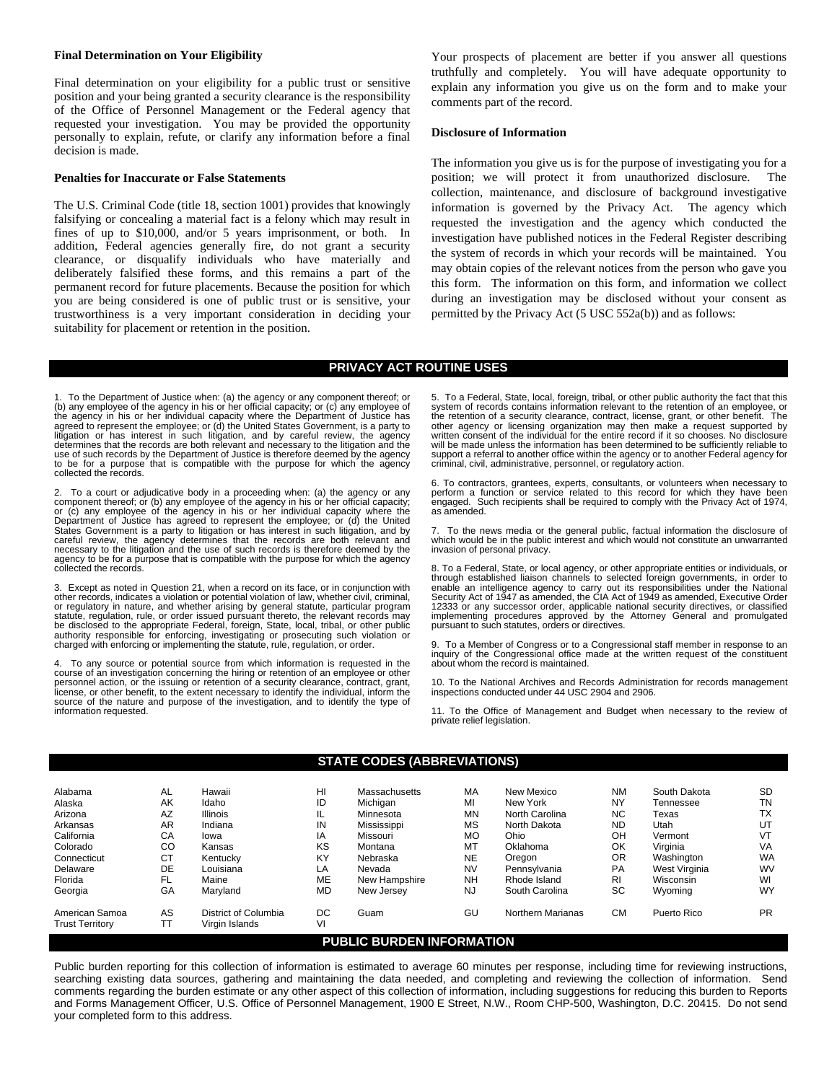#### **Final Determination on Your Eligibility**

Final determination on your eligibility for a public trust or sensitive position and your being granted a security clearance is the responsibility of the Office of Personnel Management or the Federal agency that requested your investigation. You may be provided the opportunity personally to explain, refute, or clarify any information before a final decision is made.

### **Penalties for Inaccurate or False Statements**

The U.S. Criminal Code (title 18, section 1001) provides that knowingly falsifying or concealing a material fact is a felony which may result in fines of up to \$10,000, and/or 5 years imprisonment, or both. In addition, Federal agencies generally fire, do not grant a security clearance, or disqualify individuals who have materially and deliberately falsified these forms, and this remains a part of the permanent record for future placements. Because the position for which you are being considered is one of public trust or is sensitive, your trustworthiness is a very important consideration in deciding your suitability for placement or retention in the position.

Your prospects of placement are better if you answer all questions truthfully and completely. You will have adequate opportunity to explain any information you give us on the form and to make your comments part of the record.

### **Disclosure of Information**

The information you give us is for the purpose of investigating you for a position; we will protect it from unauthorized disclosure. The collection, maintenance, and disclosure of background investigative information is governed by the Privacy Act. The agency which requested the investigation and the agency which conducted the investigation have published notices in the Federal Register describing the system of records in which your records will be maintained. You may obtain copies of the relevant notices from the person who gave you this form. The information on this form, and information we collect during an investigation may be disclosed without your consent as permitted by the Privacy Act (5 USC 552a(b)) and as follows:

### **PRIVACY ACT ROUTINE USES**

1. To the Department of Justice when: (a) the agency or any component thereof; or (b) any employee of the agency in his or her official capacity; or (c) any employee of the agency in his or her individual capacity where the Department of Justice has agreed to represent the employee; or (d) the United States Government, is a party to litigation or has interest in such litigation, and by careful review, the agency determines that the records are both relevant and necessary to the litigation and the use of such records by the Department of Justice is therefore deemed by the agency to be for a purpose that is compatible with the purpose for which the agency collected the records.

2. To a court or adjudicative body in a proceeding when: (a) the agency or any<br>component thereof; or (b) any employee of the agency in his or her official capacity;<br>or (c) any employee of the agency in his or her individua Department of Justice has agreed to represent the employee; or (d) the United States Government is a party to litigation or has interest in such litigation, and by careful review, the agency determines that the records are both relevant and necessary to the litigation and the use of such records is therefore deemed by the agency to be for a purpose that is compatible with the purpose for which the agency collected the records.

3. Except as noted in Question 21, when a record on its face, or in conjunction with other records, indicates a violation or potential violation of law, whether civil, criminal, or regulatory in nature, and whether arising by general statute, particular program statute, regulation, rule, or order issued pursuant thereto, the relevant records may be disclosed to the appropriate Federal, foreign, State, local, tribal, or other public<br>authority responsible for enforcing, investigating or prosecuting such violation or<br>charged with enforcing or implementing the statute

To any source or potential source from which information is requested in the course of an investigation concerning the hiring or retention of an employee or other personnel action, or the issuing or retention of a security clearance, contract, grant, license, or other benefit, to the extent necessary to identify the individual, inform the source of the nature and purpose of the investigation, and to identify the type of information requested.

5. To a Federal, State, local, foreign, tribal, or other public authority the fact that this system of records contains information relevant to the retention of an employee, or the retention of a security clearance, contract, license, grant, or other benefit. The other agency or licensing organization may then make a request supported by written consent of the individual for the entire record if support a referral to another office within the agency or to another Federal agency for criminal, civil, administrative, personnel, or regulatory action.

6. To contractors, grantees, experts, consultants, or volunteers when necessary to perform a function or service related to this record for which they have been engaged. Such recipients shall be required to comply with the Privacy Act of 1974, as amended.

To the news media or the general public, factual information the disclosure of which would be in the public interest and which would not constitute an unwarranted invasion of personal privacy.

8. To a Federal, State, or local agency, or other appropriate entities or individuals, or through established liaison channels to selected foreign governments, in order to enable an intelligence agency to carry out its responsibilities under the National<br>Security Act of 1947 as amended, the CIA Act of 1949 as amended, Executive Order<br>12333 or any successor order, applicable national security implementing procedures approved by the Attorney General and promulgated pursuant to such statutes, orders or directives.

9. To a Member of Congress or to a Congressional staff member in response to an inquiry of the Congressional office made at the written request of the constituent about whom the record is maintained.

10. To the National Archives and Records Administration for records management inspections conducted under 44 USC 2904 and 2906.

11. To the Office of Management and Budget when necessary to the review of private relief legislation.

### **STATE CODES (ABBREVIATIONS)**

| Alabama                | AL        | Hawaii               | HI        | Massachusetts | MA        | New Mexico        | <b>NM</b> | South Dakota  | <b>SD</b> |
|------------------------|-----------|----------------------|-----------|---------------|-----------|-------------------|-----------|---------------|-----------|
| Alaska                 | AK        | Idaho                | ID        | Michigan      | MI        | New York          | NY        | Tennessee     | <b>TN</b> |
| Arizona                | AZ        | <b>Illinois</b>      | IL        | Minnesota     | <b>MN</b> | North Carolina    | NC.       | Texas         | <b>TX</b> |
| Arkansas               | AR        | Indiana              | IN        | Mississippi   | MS        | North Dakota      | <b>ND</b> | Utah          | UT        |
| California             | СA        | Iowa                 | IA        | Missouri      | MO        | Ohio              | OH        | Vermont       | VT        |
| Colorado               | CO        | Kansas               | KS        | Montana       | MT        | Oklahoma          | OK        | Virginia      | VA        |
| Connecticut            | <b>CT</b> | Kentucky             | KY        | Nebraska      | <b>NE</b> | Oregon            | OR        | Washington    | <b>WA</b> |
| Delaware               | DE        | Louisiana            | LA        | Nevada        | <b>NV</b> | Pennsylvania      | <b>PA</b> | West Virginia | <b>WV</b> |
| Florida                | FL.       | Maine                | ME        | New Hampshire | <b>NH</b> | Rhode Island      | R1        | Wisconsin     | WI        |
| Georgia                | GA        | Maryland             | <b>MD</b> | New Jersey    | NJ        | South Carolina    | SC        | Wyoming       | <b>WY</b> |
| American Samoa         | AS        | District of Columbia | DC        | Guam          | GU        | Northern Marianas | СM        | Puerto Rico   | <b>PR</b> |
| <b>Trust Territory</b> | ТT        | Virgin Islands       | VI        |               |           |                   |           |               |           |

### **PUBLIC BURDEN INFORMATION**

Public burden reporting for this collection of information is estimated to average 60 minutes per response, including time for reviewing instructions, searching existing data sources, gathering and maintaining the data needed, and completing and reviewing the collection of information. Send comments regarding the burden estimate or any other aspect of this collection of information, including suggestions for reducing this burden to Reports and Forms Management Officer, U.S. Office of Personnel Management, 1900 E Street, N.W., Room CHP-500, Washington, D.C. 20415. Do not send your completed form to this address.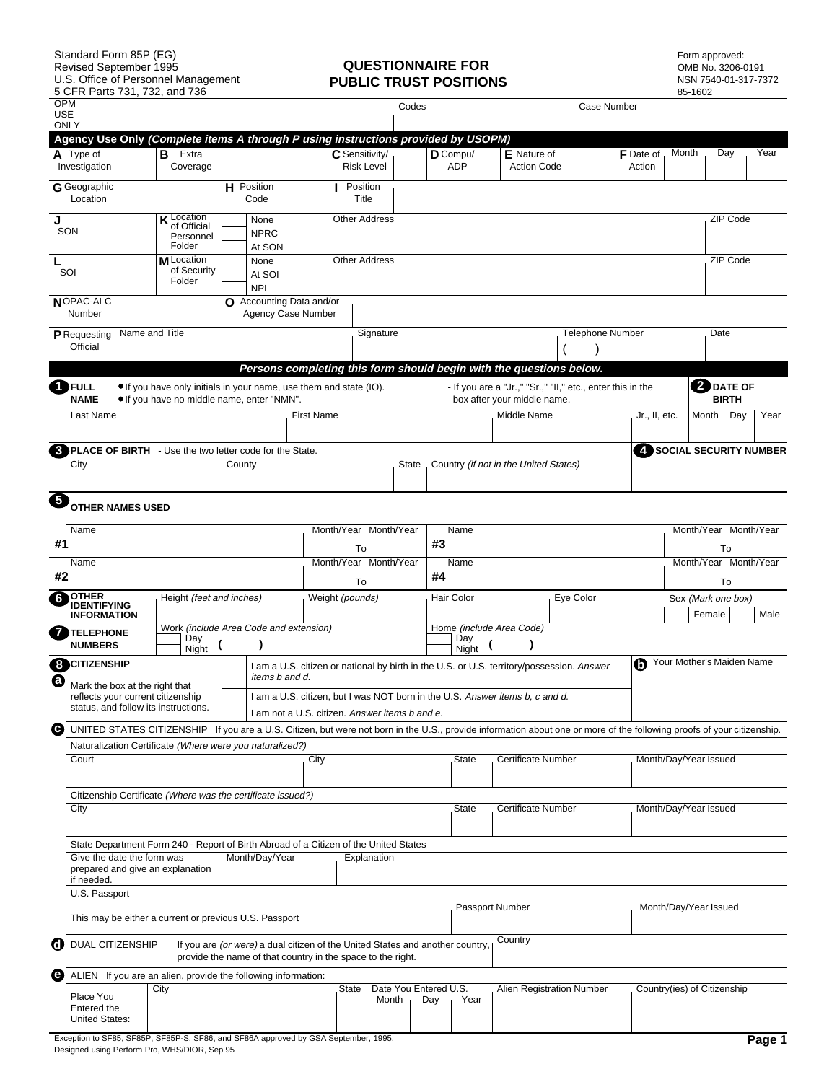# **PUBLIC TRUST POSITIONS**

Form approved:<br>OMB No. 3206-0191<br>NSN 7540-01-317-7372

| <b>OPM</b><br><b>USE</b> |                                                        |                |                                                                                                                  |        |                                                                                                                                              |                   |                                     |             | Codes |                              |              |                                                                              | <b>Case Number</b>                                                                                                                                                       |                            |       |                             |              |                        |
|--------------------------|--------------------------------------------------------|----------------|------------------------------------------------------------------------------------------------------------------|--------|----------------------------------------------------------------------------------------------------------------------------------------------|-------------------|-------------------------------------|-------------|-------|------------------------------|--------------|------------------------------------------------------------------------------|--------------------------------------------------------------------------------------------------------------------------------------------------------------------------|----------------------------|-------|-----------------------------|--------------|------------------------|
| <b>ONLY</b>              |                                                        |                |                                                                                                                  |        |                                                                                                                                              |                   |                                     |             |       |                              |              |                                                                              |                                                                                                                                                                          |                            |       |                             |              |                        |
|                          |                                                        |                | Agency Use Only (Complete items A through P using instructions provided by USOPM)                                |        |                                                                                                                                              |                   |                                     |             |       |                              |              |                                                                              |                                                                                                                                                                          |                            |       |                             |              |                        |
|                          | A Type of<br>Investigation                             |                | Extra<br>В<br>Coverage                                                                                           |        |                                                                                                                                              |                   | C Sensitivity/<br><b>Risk Level</b> |             |       | $D$ Compu/<br>ADP            |              | E Nature of<br><b>Action Code</b>                                            |                                                                                                                                                                          | <b>F</b> Date of<br>Action | Month |                             | Day          | Year                   |
|                          | G Geographic<br>Location                               |                |                                                                                                                  |        | <b>H</b> Position<br>Code                                                                                                                    |                   | Position<br>Title                   |             |       |                              |              |                                                                              |                                                                                                                                                                          |                            |       |                             |              |                        |
| J<br>SON                 |                                                        |                | <b>K</b> Location<br>of Official<br>Personnel<br>Folder                                                          |        | None<br><b>NPRC</b><br>At SON                                                                                                                |                   | <b>Other Address</b>                |             |       |                              |              |                                                                              |                                                                                                                                                                          |                            |       |                             | ZIP Code     |                        |
| L<br>SOI                 |                                                        |                | M Location<br>of Security<br>Folder                                                                              |        | None<br>At SOI<br><b>NPI</b>                                                                                                                 |                   | <b>Other Address</b>                |             |       |                              |              |                                                                              |                                                                                                                                                                          |                            |       |                             | ZIP Code     |                        |
|                          | NOPAC-ALC<br>Number                                    |                |                                                                                                                  |        | O Accounting Data and/or<br><b>Agency Case Number</b>                                                                                        |                   |                                     |             |       |                              |              |                                                                              |                                                                                                                                                                          |                            |       |                             |              |                        |
|                          | P Requesting<br>Official                               | Name and Title |                                                                                                                  |        |                                                                                                                                              |                   |                                     | Signature   |       |                              |              |                                                                              | <b>Telephone Number</b>                                                                                                                                                  |                            |       | Date                        |              |                        |
|                          |                                                        |                |                                                                                                                  |        |                                                                                                                                              |                   |                                     |             |       |                              |              |                                                                              | Persons completing this form should begin with the questions below.                                                                                                      |                            |       |                             |              |                        |
|                          | <b>DFULL</b><br><b>NAME</b>                            |                | • If you have only initials in your name, use them and state (IO).<br>. If you have no middle name, enter "NMN". |        |                                                                                                                                              |                   |                                     |             |       |                              |              | box after your middle name.                                                  | - If you are a "Jr.," "Sr.," "II," etc., enter this in the                                                                                                               |                            |       | <b>D</b> DATE OF            | <b>BIRTH</b> |                        |
|                          | Last Name                                              |                |                                                                                                                  |        |                                                                                                                                              | <b>First Name</b> |                                     |             |       |                              |              | Middle Name                                                                  |                                                                                                                                                                          | Jr., II, etc.              |       | Month                       | Day          | Year                   |
|                          |                                                        |                | <b>3</b> PLACE OF BIRTH - Use the two letter code for the State.                                                 |        |                                                                                                                                              |                   |                                     |             |       |                              |              |                                                                              |                                                                                                                                                                          |                            |       |                             |              | SOCIAL SECURITY NUMBER |
|                          | City                                                   |                |                                                                                                                  | County |                                                                                                                                              |                   |                                     |             | State |                              |              | Country (if not in the United States)                                        |                                                                                                                                                                          |                            |       |                             |              |                        |
| 6                        | <b>OTHER NAMES USED</b>                                |                |                                                                                                                  |        |                                                                                                                                              |                   |                                     |             |       |                              |              |                                                                              |                                                                                                                                                                          |                            |       |                             |              |                        |
| #1                       | Name                                                   |                |                                                                                                                  |        |                                                                                                                                              |                   | Month/Year Month/Year<br>To         |             |       | #3                           | Name         |                                                                              |                                                                                                                                                                          |                            |       | Month/Year Month/Year       | To           |                        |
| #2                       | Name                                                   |                |                                                                                                                  |        |                                                                                                                                              |                   | Month/Year Month/Year<br>To         |             |       | #4                           | Name         |                                                                              |                                                                                                                                                                          |                            |       | Month/Year Month/Year       | To           |                        |
| 6                        | <b>OTHER</b>                                           |                | Height (feet and inches)                                                                                         |        |                                                                                                                                              |                   | Weight (pounds)                     |             |       | Hair Color                   |              |                                                                              | Eye Color                                                                                                                                                                |                            |       | Sex (Mark one box)          |              |                        |
|                          | <b>IDENTIFYING</b><br><b>INFORMATION</b>               |                |                                                                                                                  |        |                                                                                                                                              |                   |                                     |             |       |                              |              |                                                                              |                                                                                                                                                                          |                            |       | Female                      |              | Male                   |
| 7                        | <b>TELEPHONE</b><br><b>NUMBERS</b>                     |                | Work (include Area Code and extension)<br>Day<br>Night                                                           |        |                                                                                                                                              |                   |                                     |             |       |                              | Day<br>Night | Home (include Area Code)                                                     |                                                                                                                                                                          |                            |       |                             |              |                        |
| €                        | <b>B</b> CITIZENSHIP<br>Mark the box at the right that |                |                                                                                                                  |        | items b and d.                                                                                                                               |                   |                                     |             |       |                              |              |                                                                              | I am a U.S. citizen or national by birth in the U.S. or U.S. territory/possession. Answer                                                                                |                            |       | Your Mother's Maiden Name   |              |                        |
|                          |                                                        |                | reflects your current citizenship<br>status, and follow its instructions.                                        |        |                                                                                                                                              |                   |                                     |             |       |                              |              | I am a U.S. citizen, but I was NOT born in the U.S. Answer items b, c and d. |                                                                                                                                                                          |                            |       |                             |              |                        |
|                          |                                                        |                |                                                                                                                  |        | I am not a U.S. citizen. Answer items b and e.                                                                                               |                   |                                     |             |       |                              |              |                                                                              | O UNITED STATES CITIZENSHIP If you are a U.S. Citizen, but were not born in the U.S., provide information about one or more of the following proofs of your citizenship. |                            |       |                             |              |                        |
|                          |                                                        |                | Naturalization Certificate (Where were you naturalized?)                                                         |        |                                                                                                                                              |                   |                                     |             |       |                              |              |                                                                              |                                                                                                                                                                          |                            |       |                             |              |                        |
|                          | Court                                                  |                |                                                                                                                  |        |                                                                                                                                              | City              |                                     |             |       |                              | <b>State</b> | <b>Certificate Number</b>                                                    |                                                                                                                                                                          |                            |       | Month/Day/Year Issued       |              |                        |
|                          | City                                                   |                | Citizenship Certificate (Where was the certificate issued?)                                                      |        |                                                                                                                                              |                   |                                     |             |       |                              | <b>State</b> | <b>Certificate Number</b>                                                    |                                                                                                                                                                          |                            |       | Month/Day/Year Issued       |              |                        |
|                          |                                                        |                | State Department Form 240 - Report of Birth Abroad of a Citizen of the United States                             |        |                                                                                                                                              |                   |                                     |             |       |                              |              |                                                                              |                                                                                                                                                                          |                            |       |                             |              |                        |
|                          | Give the date the form was<br>if needed.               |                | prepared and give an explanation                                                                                 |        | Month/Day/Year                                                                                                                               |                   |                                     | Explanation |       |                              |              |                                                                              |                                                                                                                                                                          |                            |       |                             |              |                        |
|                          | U.S. Passport                                          |                |                                                                                                                  |        |                                                                                                                                              |                   |                                     |             |       |                              |              |                                                                              |                                                                                                                                                                          |                            |       |                             |              |                        |
|                          |                                                        |                | This may be either a current or previous U.S. Passport                                                           |        |                                                                                                                                              |                   |                                     |             |       |                              |              | Passport Number                                                              |                                                                                                                                                                          |                            |       | Month/Day/Year Issued       |              |                        |
|                          | <b>C</b> DUAL CITIZENSHIP                              |                |                                                                                                                  |        | If you are (or were) a dual citizen of the United States and another country.<br>provide the name of that country in the space to the right. |                   |                                     |             |       |                              |              | Country                                                                      |                                                                                                                                                                          |                            |       |                             |              |                        |
|                          |                                                        |                | ALIEN If you are an alien, provide the following information:                                                    |        |                                                                                                                                              |                   |                                     |             |       |                              |              |                                                                              |                                                                                                                                                                          |                            |       |                             |              |                        |
|                          | Place You<br>Entered the<br><b>United States:</b>      |                | City                                                                                                             |        |                                                                                                                                              |                   | State                               | Month       |       | Date You Entered U.S.<br>Day | Year         |                                                                              | Alien Registration Number                                                                                                                                                |                            |       | Country(ies) of Citizenship |              |                        |
|                          |                                                        |                |                                                                                                                  |        |                                                                                                                                              |                   |                                     |             |       |                              |              |                                                                              |                                                                                                                                                                          |                            |       |                             |              |                        |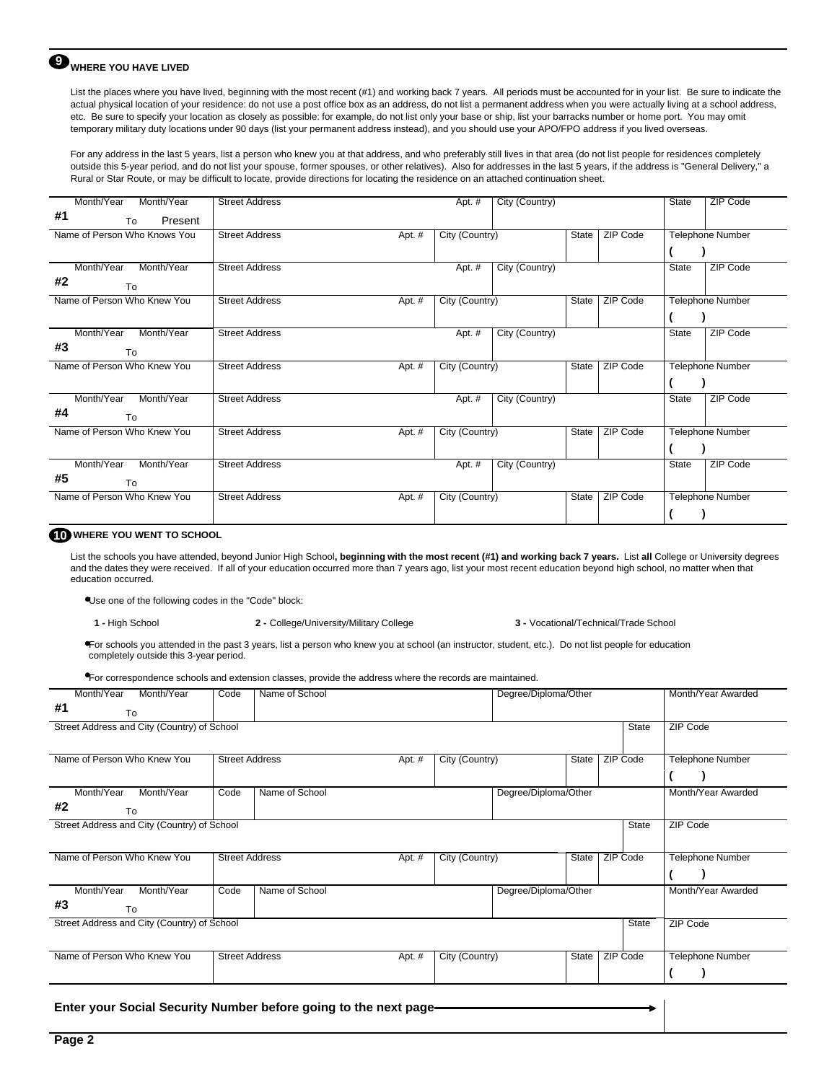## **9** WHERE YOU HAVE LIVED

List the places where you have lived, beginning with the most recent (#1) and working back 7 years. All periods must be accounted for in your list. Be sure to indicate the actual physical location of your residence: do not use a post office box as an address, do not list a permanent address when you were actually living at a school address, etc. Be sure to specify your location as closely as possible: for example, do not list only your base or ship, list your barracks number or home port. You may omit temporary military duty locations under 90 days (list your permanent address instead), and you should use your APO/FPO address if you lived overseas.

For any address in the last 5 years, list a person who knew you at that address, and who preferably still lives in that area (do not list people for residences completely outside this 5-year period, and do not list your spouse, former spouses, or other relatives). Also for addresses in the last 5 years, if the address is "General Delivery," a Rural or Star Route, or may be difficult to locate, provide directions for locating the residence on an attached continuation sheet.

| Month/Year<br>Month/Year     | <b>Street Address</b> |        | Apt. #         | City (Country) |       |          | <b>State</b> | <b>ZIP Code</b>         |
|------------------------------|-----------------------|--------|----------------|----------------|-------|----------|--------------|-------------------------|
| #1<br>Present<br>To          |                       |        |                |                |       |          |              |                         |
| Name of Person Who Knows You | <b>Street Address</b> | Apt. # | City (Country) |                | State | ZIP Code |              | <b>Telephone Number</b> |
|                              |                       |        |                |                |       |          |              |                         |
| Month/Year<br>Month/Year     | <b>Street Address</b> |        | Apt. #         | City (Country) |       |          | State        | <b>ZIP Code</b>         |
| #2<br>To                     |                       |        |                |                |       |          |              |                         |
| Name of Person Who Knew You  | <b>Street Address</b> | Apt. # | City (Country) |                | State | ZIP Code |              | <b>Telephone Number</b> |
|                              |                       |        |                |                |       |          |              |                         |
| Month/Year<br>Month/Year     | <b>Street Address</b> |        | Apt. #         | City (Country) |       |          | State        | <b>ZIP Code</b>         |
| #3<br>To                     |                       |        |                |                |       |          |              |                         |
| Name of Person Who Knew You  | <b>Street Address</b> | Apt. # | City (Country) |                | State | ZIP Code |              | <b>Telephone Number</b> |
|                              |                       |        |                |                |       |          |              |                         |
| Month/Year<br>Month/Year     | <b>Street Address</b> |        | Apt. #         | City (Country) |       |          | State        | <b>ZIP Code</b>         |
| #4<br>To                     |                       |        |                |                |       |          |              |                         |
| Name of Person Who Knew You  | <b>Street Address</b> | Apt. # | City (Country) |                | State | ZIP Code |              | <b>Telephone Number</b> |
|                              |                       |        |                |                |       |          |              |                         |
| Month/Year<br>Month/Year     | <b>Street Address</b> |        | Apt. #         | City (Country) |       |          | State        | <b>ZIP Code</b>         |
| #5<br>To                     |                       |        |                |                |       |          |              |                         |
| Name of Person Who Knew You  | <b>Street Address</b> | Apt. # | City (Country) |                | State | ZIP Code |              | Telephone Number        |
|                              |                       |        |                |                |       |          |              |                         |
|                              |                       |        |                |                |       |          |              |                         |

### **10 WHERE YOU WENT TO SCHOOL**

List the schools you have attended, beyond Junior High School**, beginning with the most recent (#1) and working back 7 years.** List **all** College or University degrees and the dates they were received. If all of your education occurred more than 7 years ago, list your most recent education beyond high school, no matter when that education occurred.

Use one of the following codes in the "Code" block:

**1 -** High School **2 -** College/University/Military College **3 -** Vocational/Technical/Trade School

For schools you attended in the past 3 years, list a person who knew you at school (an instructor, student, etc.). Do not list people for education completely outside this 3-year period.

For correspondence schools and extension classes, provide the address where the records are maintained.

| Month/Year<br>Month/Year                                         | Code                  | Name of School | Degree/Diploma/Other |                | Month/Year Awarded   |              |                         |
|------------------------------------------------------------------|-----------------------|----------------|----------------------|----------------|----------------------|--------------|-------------------------|
| #1<br>To                                                         |                       |                |                      |                |                      |              |                         |
| Street Address and City (Country) of School                      |                       |                |                      |                |                      | <b>State</b> | ZIP Code                |
|                                                                  |                       |                |                      |                |                      |              |                         |
| Name of Person Who Knew You                                      | <b>Street Address</b> |                | Apt. #               | City (Country) | State                | ZIP Code     | <b>Telephone Number</b> |
|                                                                  |                       |                |                      |                |                      |              |                         |
| Month/Year<br>Month/Year                                         | Code                  | Name of School |                      |                | Degree/Diploma/Other |              | Month/Year Awarded      |
| #2<br>To                                                         |                       |                |                      |                |                      |              |                         |
| Street Address and City (Country) of School                      |                       |                |                      |                |                      | State        | <b>ZIP Code</b>         |
|                                                                  |                       |                |                      |                |                      |              |                         |
| Name of Person Who Knew You                                      | <b>Street Address</b> |                | Apt. #               | City (Country) | State                | ZIP Code     | <b>Telephone Number</b> |
|                                                                  |                       |                |                      |                |                      |              |                         |
|                                                                  |                       |                |                      |                |                      |              |                         |
| Month/Year<br>Month/Year                                         | Code                  | Name of School |                      |                | Degree/Diploma/Other |              | Month/Year Awarded      |
| #3<br>To                                                         |                       |                |                      |                |                      |              |                         |
| Street Address and City (Country) of School                      |                       |                |                      |                |                      | State        | ZIP Code                |
|                                                                  |                       |                |                      |                |                      |              |                         |
| Name of Person Who Knew You                                      | <b>Street Address</b> |                | Apt. #               | City (Country) | State                | ZIP Code     | <b>Telephone Number</b> |
|                                                                  |                       |                |                      |                |                      |              |                         |
|                                                                  |                       |                |                      |                |                      |              |                         |
| Enter your Social Security Number before going to the next page- |                       |                |                      |                |                      |              |                         |
|                                                                  |                       |                |                      |                |                      |              |                         |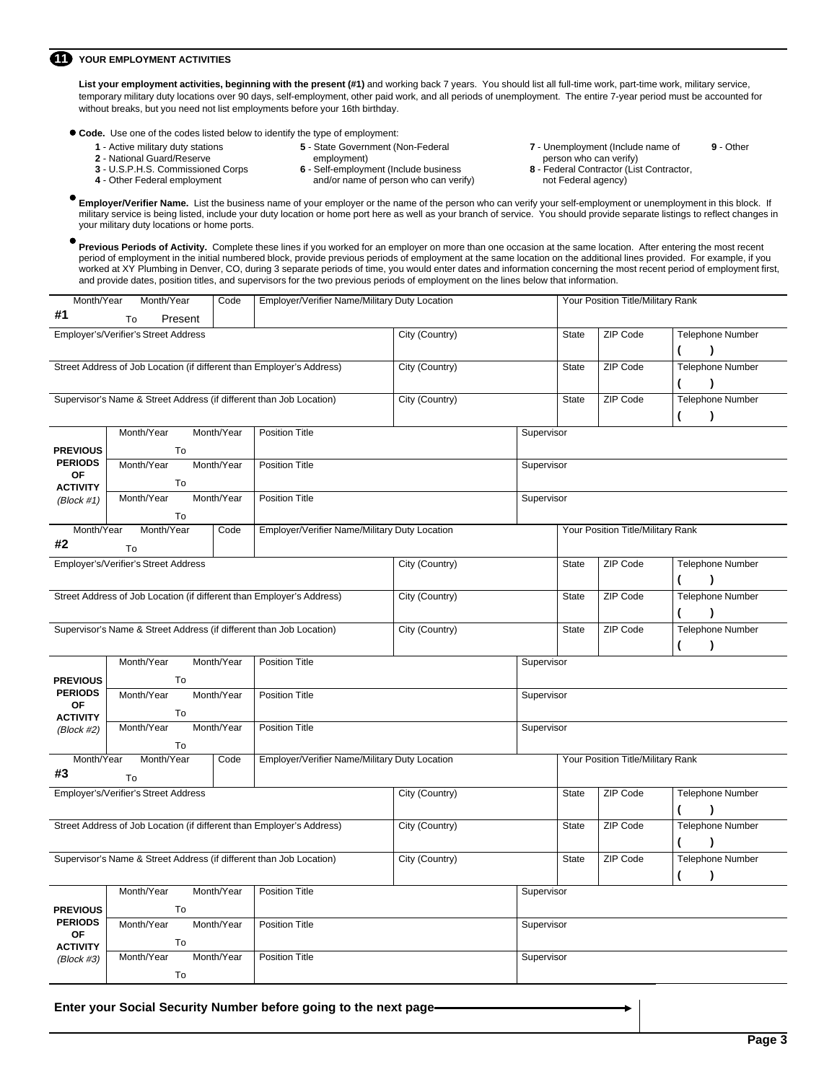### **11** YOUR EMPLOYMENT ACTIVITIES

List your employment activities, beginning with the present (#1) and working back 7 years. You should list all full-time work, part-time work, military service, temporary military duty locations over 90 days, self-employment, other paid work, and all periods of unemployment. The entire 7-year period must be accounted for without breaks, but you need not list employments before your 16th birthday.

**Code.** Use one of the codes listed below to identify the type of employment:

- **1**  Active military duty stations
- **2** National Guard/Reserve **3** - U.S.P.H.S. Commissioned Corps **4** - Other Federal employment
- **5**  State Government (Non-Federal
- 
- employment)
	- **6** Self-employment (Include business
		- and/or name of person who can verify)
- **7** Unemployment (Include name of person who can verify) **9** - Other
- **8** Federal Contractor (List Contractor, not Federal agency)

**Employer/Verifier Name.** List the business name of your employer or the name of the person who can verify your self-employment or unemployment in this block. If military service is being listed, include your duty location or home port here as well as your branch of service. You should provide separate listings to reflect changes in your military duty locations or home ports.

**Previous Periods of Activity.** Complete these lines if you worked for an employer on more than one occasion at the same location. After entering the most recent period of employment in the initial numbered block, provide previous periods of employment at the same location on the additional lines provided. For example, if you worked at XY Plumbing in Denver, CO, during 3 separate periods of time, you would enter dates and information concerning the most recent period of employment first, and provide dates, position titles, and supervisors for the two previous periods of employment on the lines below that information.

| Present<br>To<br>Employer's/Verifier's Street Address<br>City (Country)<br>ZIP Code<br><b>Telephone Number</b><br><b>State</b><br>$\lambda$<br>ZIP Code<br><b>Telephone Number</b><br>Street Address of Job Location (if different than Employer's Address)<br>City (Country)<br><b>State</b><br>)<br>ZIP Code<br><b>Telephone Number</b><br>Supervisor's Name & Street Address (if different than Job Location)<br>City (Country)<br><b>State</b><br>$\lambda$<br>Month/Year<br>Month/Year<br><b>Position Title</b><br>Supervisor<br><b>PREVIOUS</b><br>To<br><b>PERIODS</b><br>Month/Year<br>Month/Year<br><b>Position Title</b><br>Supervisor<br><b>OF</b><br>To<br><b>ACTIVITY</b><br>Month/Year<br>Month/Year<br><b>Position Title</b><br>Supervisor<br>(Block #1)<br>To<br>Month/Year<br>Month/Year<br>Code<br>Employer/Verifier Name/Military Duty Location<br>Your Position Title/Military Rank<br>To<br>Employer's/Verifier's Street Address<br>City (Country)<br>ZIP Code<br><b>Telephone Number</b><br><b>State</b><br>$\lambda$<br>ZIP Code<br><b>Telephone Number</b><br>Street Address of Job Location (if different than Employer's Address)<br>City (Country)<br>State<br>)<br>Supervisor's Name & Street Address (if different than Job Location)<br>City (Country)<br>ZIP Code<br><b>Telephone Number</b><br>State<br>$\lambda$<br>Month/Year<br>Month/Year<br><b>Position Title</b><br>Supervisor<br>To<br><b>PERIODS</b><br>Month/Year<br>Month/Year<br><b>Position Title</b><br>Supervisor<br>0F<br>To<br><b>ACTIVITY</b><br>Month/Year<br>Month/Year<br><b>Position Title</b><br>Supervisor<br>(Block #2)<br>To<br>Month/Year<br>Your Position Title/Military Rank<br>Month/Year<br>Code<br>Employer/Verifier Name/Military Duty Location<br>To<br>ZIP Code<br>Employer's/Verifier's Street Address<br>City (Country)<br><b>Telephone Number</b><br><b>State</b><br>1<br>Street Address of Job Location (if different than Employer's Address)<br>ZIP Code<br>Telephone Number<br>City (Country)<br><b>State</b><br>$\lambda$<br>€<br>Supervisor's Name & Street Address (if different than Job Location)<br>City (Country)<br>ZIP Code<br><b>Telephone Number</b><br><b>State</b><br>$\lambda$<br>Month/Year<br>Month/Year<br><b>Position Title</b><br>Supervisor<br>To<br>Month/Year<br>Month/Year<br><b>Position Title</b><br>Supervisor<br><b>OF</b><br>To<br><b>ACTIVITY</b><br>Month/Year<br>Month/Year<br><b>Position Title</b><br>Supervisor<br>(Block #3)<br>To |                 | Month/Year | Month/Year | Code | Employer/Verifier Name/Military Duty Location |  |  | Your Position Title/Military Rank |  |  |  |
|------------------------------------------------------------------------------------------------------------------------------------------------------------------------------------------------------------------------------------------------------------------------------------------------------------------------------------------------------------------------------------------------------------------------------------------------------------------------------------------------------------------------------------------------------------------------------------------------------------------------------------------------------------------------------------------------------------------------------------------------------------------------------------------------------------------------------------------------------------------------------------------------------------------------------------------------------------------------------------------------------------------------------------------------------------------------------------------------------------------------------------------------------------------------------------------------------------------------------------------------------------------------------------------------------------------------------------------------------------------------------------------------------------------------------------------------------------------------------------------------------------------------------------------------------------------------------------------------------------------------------------------------------------------------------------------------------------------------------------------------------------------------------------------------------------------------------------------------------------------------------------------------------------------------------------------------------------------------------------------------------------------------------------------------------------------------------------------------------------------------------------------------------------------------------------------------------------------------------------------------------------------------------------------------------------------------------------------------------------------------------------------------------------------------------------------------------------------------------------------------|-----------------|------------|------------|------|-----------------------------------------------|--|--|-----------------------------------|--|--|--|
|                                                                                                                                                                                                                                                                                                                                                                                                                                                                                                                                                                                                                                                                                                                                                                                                                                                                                                                                                                                                                                                                                                                                                                                                                                                                                                                                                                                                                                                                                                                                                                                                                                                                                                                                                                                                                                                                                                                                                                                                                                                                                                                                                                                                                                                                                                                                                                                                                                                                                                | #1              |            |            |      |                                               |  |  |                                   |  |  |  |
|                                                                                                                                                                                                                                                                                                                                                                                                                                                                                                                                                                                                                                                                                                                                                                                                                                                                                                                                                                                                                                                                                                                                                                                                                                                                                                                                                                                                                                                                                                                                                                                                                                                                                                                                                                                                                                                                                                                                                                                                                                                                                                                                                                                                                                                                                                                                                                                                                                                                                                |                 |            |            |      |                                               |  |  |                                   |  |  |  |
|                                                                                                                                                                                                                                                                                                                                                                                                                                                                                                                                                                                                                                                                                                                                                                                                                                                                                                                                                                                                                                                                                                                                                                                                                                                                                                                                                                                                                                                                                                                                                                                                                                                                                                                                                                                                                                                                                                                                                                                                                                                                                                                                                                                                                                                                                                                                                                                                                                                                                                |                 |            |            |      |                                               |  |  |                                   |  |  |  |
|                                                                                                                                                                                                                                                                                                                                                                                                                                                                                                                                                                                                                                                                                                                                                                                                                                                                                                                                                                                                                                                                                                                                                                                                                                                                                                                                                                                                                                                                                                                                                                                                                                                                                                                                                                                                                                                                                                                                                                                                                                                                                                                                                                                                                                                                                                                                                                                                                                                                                                |                 |            |            |      |                                               |  |  |                                   |  |  |  |
|                                                                                                                                                                                                                                                                                                                                                                                                                                                                                                                                                                                                                                                                                                                                                                                                                                                                                                                                                                                                                                                                                                                                                                                                                                                                                                                                                                                                                                                                                                                                                                                                                                                                                                                                                                                                                                                                                                                                                                                                                                                                                                                                                                                                                                                                                                                                                                                                                                                                                                |                 |            |            |      |                                               |  |  |                                   |  |  |  |
|                                                                                                                                                                                                                                                                                                                                                                                                                                                                                                                                                                                                                                                                                                                                                                                                                                                                                                                                                                                                                                                                                                                                                                                                                                                                                                                                                                                                                                                                                                                                                                                                                                                                                                                                                                                                                                                                                                                                                                                                                                                                                                                                                                                                                                                                                                                                                                                                                                                                                                |                 |            |            |      |                                               |  |  |                                   |  |  |  |
|                                                                                                                                                                                                                                                                                                                                                                                                                                                                                                                                                                                                                                                                                                                                                                                                                                                                                                                                                                                                                                                                                                                                                                                                                                                                                                                                                                                                                                                                                                                                                                                                                                                                                                                                                                                                                                                                                                                                                                                                                                                                                                                                                                                                                                                                                                                                                                                                                                                                                                |                 |            |            |      |                                               |  |  |                                   |  |  |  |
|                                                                                                                                                                                                                                                                                                                                                                                                                                                                                                                                                                                                                                                                                                                                                                                                                                                                                                                                                                                                                                                                                                                                                                                                                                                                                                                                                                                                                                                                                                                                                                                                                                                                                                                                                                                                                                                                                                                                                                                                                                                                                                                                                                                                                                                                                                                                                                                                                                                                                                |                 |            |            |      |                                               |  |  |                                   |  |  |  |
|                                                                                                                                                                                                                                                                                                                                                                                                                                                                                                                                                                                                                                                                                                                                                                                                                                                                                                                                                                                                                                                                                                                                                                                                                                                                                                                                                                                                                                                                                                                                                                                                                                                                                                                                                                                                                                                                                                                                                                                                                                                                                                                                                                                                                                                                                                                                                                                                                                                                                                |                 |            |            |      |                                               |  |  |                                   |  |  |  |
|                                                                                                                                                                                                                                                                                                                                                                                                                                                                                                                                                                                                                                                                                                                                                                                                                                                                                                                                                                                                                                                                                                                                                                                                                                                                                                                                                                                                                                                                                                                                                                                                                                                                                                                                                                                                                                                                                                                                                                                                                                                                                                                                                                                                                                                                                                                                                                                                                                                                                                |                 |            |            |      |                                               |  |  |                                   |  |  |  |
|                                                                                                                                                                                                                                                                                                                                                                                                                                                                                                                                                                                                                                                                                                                                                                                                                                                                                                                                                                                                                                                                                                                                                                                                                                                                                                                                                                                                                                                                                                                                                                                                                                                                                                                                                                                                                                                                                                                                                                                                                                                                                                                                                                                                                                                                                                                                                                                                                                                                                                |                 |            |            |      |                                               |  |  |                                   |  |  |  |
|                                                                                                                                                                                                                                                                                                                                                                                                                                                                                                                                                                                                                                                                                                                                                                                                                                                                                                                                                                                                                                                                                                                                                                                                                                                                                                                                                                                                                                                                                                                                                                                                                                                                                                                                                                                                                                                                                                                                                                                                                                                                                                                                                                                                                                                                                                                                                                                                                                                                                                |                 |            |            |      |                                               |  |  |                                   |  |  |  |
|                                                                                                                                                                                                                                                                                                                                                                                                                                                                                                                                                                                                                                                                                                                                                                                                                                                                                                                                                                                                                                                                                                                                                                                                                                                                                                                                                                                                                                                                                                                                                                                                                                                                                                                                                                                                                                                                                                                                                                                                                                                                                                                                                                                                                                                                                                                                                                                                                                                                                                | #2              |            |            |      |                                               |  |  |                                   |  |  |  |
|                                                                                                                                                                                                                                                                                                                                                                                                                                                                                                                                                                                                                                                                                                                                                                                                                                                                                                                                                                                                                                                                                                                                                                                                                                                                                                                                                                                                                                                                                                                                                                                                                                                                                                                                                                                                                                                                                                                                                                                                                                                                                                                                                                                                                                                                                                                                                                                                                                                                                                |                 |            |            |      |                                               |  |  |                                   |  |  |  |
|                                                                                                                                                                                                                                                                                                                                                                                                                                                                                                                                                                                                                                                                                                                                                                                                                                                                                                                                                                                                                                                                                                                                                                                                                                                                                                                                                                                                                                                                                                                                                                                                                                                                                                                                                                                                                                                                                                                                                                                                                                                                                                                                                                                                                                                                                                                                                                                                                                                                                                |                 |            |            |      |                                               |  |  |                                   |  |  |  |
|                                                                                                                                                                                                                                                                                                                                                                                                                                                                                                                                                                                                                                                                                                                                                                                                                                                                                                                                                                                                                                                                                                                                                                                                                                                                                                                                                                                                                                                                                                                                                                                                                                                                                                                                                                                                                                                                                                                                                                                                                                                                                                                                                                                                                                                                                                                                                                                                                                                                                                |                 |            |            |      |                                               |  |  |                                   |  |  |  |
|                                                                                                                                                                                                                                                                                                                                                                                                                                                                                                                                                                                                                                                                                                                                                                                                                                                                                                                                                                                                                                                                                                                                                                                                                                                                                                                                                                                                                                                                                                                                                                                                                                                                                                                                                                                                                                                                                                                                                                                                                                                                                                                                                                                                                                                                                                                                                                                                                                                                                                |                 |            |            |      |                                               |  |  |                                   |  |  |  |
|                                                                                                                                                                                                                                                                                                                                                                                                                                                                                                                                                                                                                                                                                                                                                                                                                                                                                                                                                                                                                                                                                                                                                                                                                                                                                                                                                                                                                                                                                                                                                                                                                                                                                                                                                                                                                                                                                                                                                                                                                                                                                                                                                                                                                                                                                                                                                                                                                                                                                                |                 |            |            |      |                                               |  |  |                                   |  |  |  |
|                                                                                                                                                                                                                                                                                                                                                                                                                                                                                                                                                                                                                                                                                                                                                                                                                                                                                                                                                                                                                                                                                                                                                                                                                                                                                                                                                                                                                                                                                                                                                                                                                                                                                                                                                                                                                                                                                                                                                                                                                                                                                                                                                                                                                                                                                                                                                                                                                                                                                                |                 |            |            |      |                                               |  |  |                                   |  |  |  |
|                                                                                                                                                                                                                                                                                                                                                                                                                                                                                                                                                                                                                                                                                                                                                                                                                                                                                                                                                                                                                                                                                                                                                                                                                                                                                                                                                                                                                                                                                                                                                                                                                                                                                                                                                                                                                                                                                                                                                                                                                                                                                                                                                                                                                                                                                                                                                                                                                                                                                                |                 |            |            |      |                                               |  |  |                                   |  |  |  |
|                                                                                                                                                                                                                                                                                                                                                                                                                                                                                                                                                                                                                                                                                                                                                                                                                                                                                                                                                                                                                                                                                                                                                                                                                                                                                                                                                                                                                                                                                                                                                                                                                                                                                                                                                                                                                                                                                                                                                                                                                                                                                                                                                                                                                                                                                                                                                                                                                                                                                                | <b>PREVIOUS</b> |            |            |      |                                               |  |  |                                   |  |  |  |
|                                                                                                                                                                                                                                                                                                                                                                                                                                                                                                                                                                                                                                                                                                                                                                                                                                                                                                                                                                                                                                                                                                                                                                                                                                                                                                                                                                                                                                                                                                                                                                                                                                                                                                                                                                                                                                                                                                                                                                                                                                                                                                                                                                                                                                                                                                                                                                                                                                                                                                |                 |            |            |      |                                               |  |  |                                   |  |  |  |
|                                                                                                                                                                                                                                                                                                                                                                                                                                                                                                                                                                                                                                                                                                                                                                                                                                                                                                                                                                                                                                                                                                                                                                                                                                                                                                                                                                                                                                                                                                                                                                                                                                                                                                                                                                                                                                                                                                                                                                                                                                                                                                                                                                                                                                                                                                                                                                                                                                                                                                |                 |            |            |      |                                               |  |  |                                   |  |  |  |
|                                                                                                                                                                                                                                                                                                                                                                                                                                                                                                                                                                                                                                                                                                                                                                                                                                                                                                                                                                                                                                                                                                                                                                                                                                                                                                                                                                                                                                                                                                                                                                                                                                                                                                                                                                                                                                                                                                                                                                                                                                                                                                                                                                                                                                                                                                                                                                                                                                                                                                |                 |            |            |      |                                               |  |  |                                   |  |  |  |
|                                                                                                                                                                                                                                                                                                                                                                                                                                                                                                                                                                                                                                                                                                                                                                                                                                                                                                                                                                                                                                                                                                                                                                                                                                                                                                                                                                                                                                                                                                                                                                                                                                                                                                                                                                                                                                                                                                                                                                                                                                                                                                                                                                                                                                                                                                                                                                                                                                                                                                |                 |            |            |      |                                               |  |  |                                   |  |  |  |
|                                                                                                                                                                                                                                                                                                                                                                                                                                                                                                                                                                                                                                                                                                                                                                                                                                                                                                                                                                                                                                                                                                                                                                                                                                                                                                                                                                                                                                                                                                                                                                                                                                                                                                                                                                                                                                                                                                                                                                                                                                                                                                                                                                                                                                                                                                                                                                                                                                                                                                |                 |            |            |      |                                               |  |  |                                   |  |  |  |
|                                                                                                                                                                                                                                                                                                                                                                                                                                                                                                                                                                                                                                                                                                                                                                                                                                                                                                                                                                                                                                                                                                                                                                                                                                                                                                                                                                                                                                                                                                                                                                                                                                                                                                                                                                                                                                                                                                                                                                                                                                                                                                                                                                                                                                                                                                                                                                                                                                                                                                | #3              |            |            |      |                                               |  |  |                                   |  |  |  |
|                                                                                                                                                                                                                                                                                                                                                                                                                                                                                                                                                                                                                                                                                                                                                                                                                                                                                                                                                                                                                                                                                                                                                                                                                                                                                                                                                                                                                                                                                                                                                                                                                                                                                                                                                                                                                                                                                                                                                                                                                                                                                                                                                                                                                                                                                                                                                                                                                                                                                                |                 |            |            |      |                                               |  |  |                                   |  |  |  |
|                                                                                                                                                                                                                                                                                                                                                                                                                                                                                                                                                                                                                                                                                                                                                                                                                                                                                                                                                                                                                                                                                                                                                                                                                                                                                                                                                                                                                                                                                                                                                                                                                                                                                                                                                                                                                                                                                                                                                                                                                                                                                                                                                                                                                                                                                                                                                                                                                                                                                                |                 |            |            |      |                                               |  |  |                                   |  |  |  |
|                                                                                                                                                                                                                                                                                                                                                                                                                                                                                                                                                                                                                                                                                                                                                                                                                                                                                                                                                                                                                                                                                                                                                                                                                                                                                                                                                                                                                                                                                                                                                                                                                                                                                                                                                                                                                                                                                                                                                                                                                                                                                                                                                                                                                                                                                                                                                                                                                                                                                                |                 |            |            |      |                                               |  |  |                                   |  |  |  |
|                                                                                                                                                                                                                                                                                                                                                                                                                                                                                                                                                                                                                                                                                                                                                                                                                                                                                                                                                                                                                                                                                                                                                                                                                                                                                                                                                                                                                                                                                                                                                                                                                                                                                                                                                                                                                                                                                                                                                                                                                                                                                                                                                                                                                                                                                                                                                                                                                                                                                                |                 |            |            |      |                                               |  |  |                                   |  |  |  |
|                                                                                                                                                                                                                                                                                                                                                                                                                                                                                                                                                                                                                                                                                                                                                                                                                                                                                                                                                                                                                                                                                                                                                                                                                                                                                                                                                                                                                                                                                                                                                                                                                                                                                                                                                                                                                                                                                                                                                                                                                                                                                                                                                                                                                                                                                                                                                                                                                                                                                                |                 |            |            |      |                                               |  |  |                                   |  |  |  |
|                                                                                                                                                                                                                                                                                                                                                                                                                                                                                                                                                                                                                                                                                                                                                                                                                                                                                                                                                                                                                                                                                                                                                                                                                                                                                                                                                                                                                                                                                                                                                                                                                                                                                                                                                                                                                                                                                                                                                                                                                                                                                                                                                                                                                                                                                                                                                                                                                                                                                                | <b>PREVIOUS</b> |            |            |      |                                               |  |  |                                   |  |  |  |
|                                                                                                                                                                                                                                                                                                                                                                                                                                                                                                                                                                                                                                                                                                                                                                                                                                                                                                                                                                                                                                                                                                                                                                                                                                                                                                                                                                                                                                                                                                                                                                                                                                                                                                                                                                                                                                                                                                                                                                                                                                                                                                                                                                                                                                                                                                                                                                                                                                                                                                | <b>PERIODS</b>  |            |            |      |                                               |  |  |                                   |  |  |  |
|                                                                                                                                                                                                                                                                                                                                                                                                                                                                                                                                                                                                                                                                                                                                                                                                                                                                                                                                                                                                                                                                                                                                                                                                                                                                                                                                                                                                                                                                                                                                                                                                                                                                                                                                                                                                                                                                                                                                                                                                                                                                                                                                                                                                                                                                                                                                                                                                                                                                                                |                 |            |            |      |                                               |  |  |                                   |  |  |  |
|                                                                                                                                                                                                                                                                                                                                                                                                                                                                                                                                                                                                                                                                                                                                                                                                                                                                                                                                                                                                                                                                                                                                                                                                                                                                                                                                                                                                                                                                                                                                                                                                                                                                                                                                                                                                                                                                                                                                                                                                                                                                                                                                                                                                                                                                                                                                                                                                                                                                                                |                 |            |            |      |                                               |  |  |                                   |  |  |  |
|                                                                                                                                                                                                                                                                                                                                                                                                                                                                                                                                                                                                                                                                                                                                                                                                                                                                                                                                                                                                                                                                                                                                                                                                                                                                                                                                                                                                                                                                                                                                                                                                                                                                                                                                                                                                                                                                                                                                                                                                                                                                                                                                                                                                                                                                                                                                                                                                                                                                                                |                 |            |            |      |                                               |  |  |                                   |  |  |  |
|                                                                                                                                                                                                                                                                                                                                                                                                                                                                                                                                                                                                                                                                                                                                                                                                                                                                                                                                                                                                                                                                                                                                                                                                                                                                                                                                                                                                                                                                                                                                                                                                                                                                                                                                                                                                                                                                                                                                                                                                                                                                                                                                                                                                                                                                                                                                                                                                                                                                                                |                 |            |            |      |                                               |  |  |                                   |  |  |  |

**Enter your Social Security Number before going to the next page**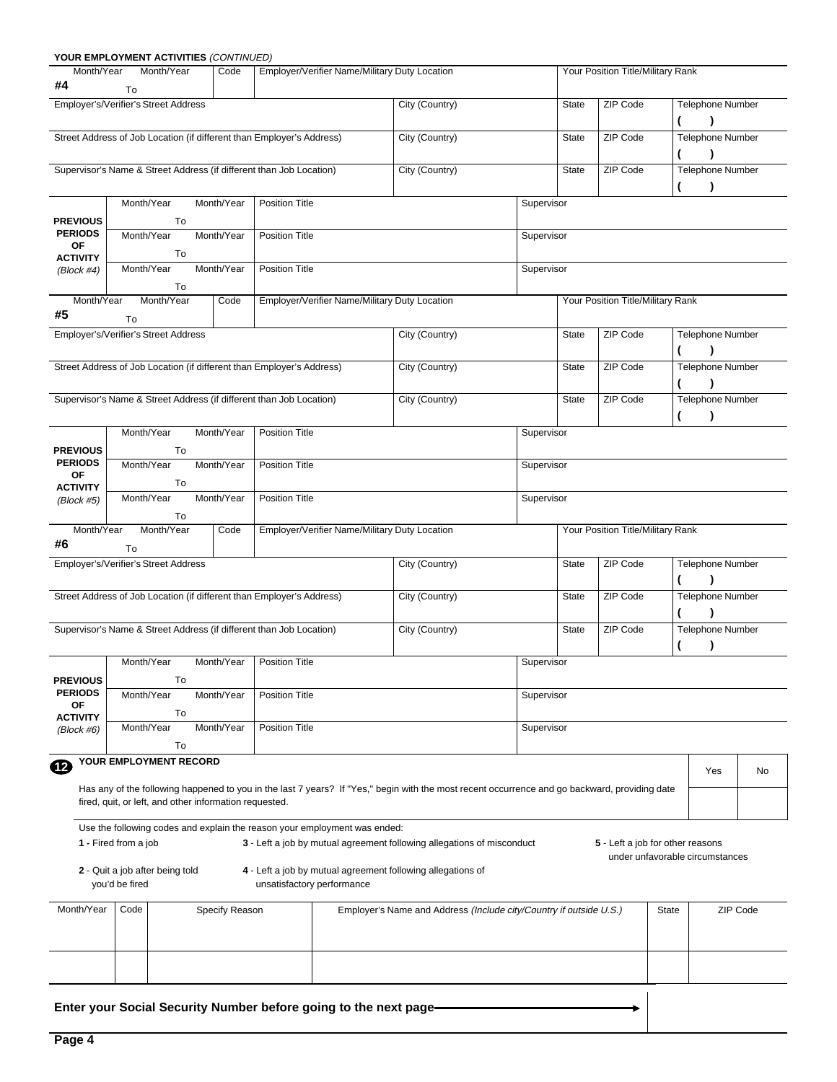|                               | YOUR EMPLOYMENT ACTIVITIES (CONTINUED)                                |                |                                                                                                                                                     |                                                                    |            |              |                                   |       |                                      |    |
|-------------------------------|-----------------------------------------------------------------------|----------------|-----------------------------------------------------------------------------------------------------------------------------------------------------|--------------------------------------------------------------------|------------|--------------|-----------------------------------|-------|--------------------------------------|----|
| Month/Year<br>#4              | Month/Year<br>To                                                      | Code           | Employer/Verifier Name/Military Duty Location                                                                                                       |                                                                    |            |              | Your Position Title/Military Rank |       |                                      |    |
|                               | Employer's/Verifier's Street Address                                  |                |                                                                                                                                                     | City (Country)                                                     |            | <b>State</b> | ZIP Code                          | €     | Telephone Number                     |    |
|                               | Street Address of Job Location (if different than Employer's Address) |                |                                                                                                                                                     | City (Country)                                                     |            | <b>State</b> | ZIP Code                          | €     | Telephone Number<br>$\lambda$        |    |
|                               | Supervisor's Name & Street Address (if different than Job Location)   |                |                                                                                                                                                     | City (Country)                                                     |            | <b>State</b> | ZIP Code                          |       | <b>Telephone Number</b><br>$\lambda$ |    |
| <b>PREVIOUS</b>               | Month/Year<br>To                                                      | Month/Year     | <b>Position Title</b>                                                                                                                               |                                                                    | Supervisor |              |                                   |       |                                      |    |
| <b>PERIODS</b><br>ОF          | Month/Year<br>To                                                      | Month/Year     | <b>Position Title</b>                                                                                                                               |                                                                    | Supervisor |              |                                   |       |                                      |    |
| <b>ACTIVITY</b><br>(Block #4) | Month/Year<br>To                                                      | Month/Year     | <b>Position Title</b>                                                                                                                               |                                                                    | Supervisor |              |                                   |       |                                      |    |
| Month/Year<br>#5              | Month/Year<br>To                                                      | Code           | Employer/Verifier Name/Military Duty Location                                                                                                       |                                                                    |            |              | Your Position Title/Military Rank |       |                                      |    |
|                               | Employer's/Verifier's Street Address                                  |                |                                                                                                                                                     | City (Country)                                                     |            | <b>State</b> | ZIP Code                          | (     | Telephone Number<br>$\lambda$        |    |
|                               | Street Address of Job Location (if different than Employer's Address) |                |                                                                                                                                                     | City (Country)                                                     |            | <b>State</b> | ZIP Code                          |       | Telephone Number<br>$\lambda$        |    |
|                               | Supervisor's Name & Street Address (if different than Job Location)   |                |                                                                                                                                                     | City (Country)                                                     |            | <b>State</b> | ZIP Code                          |       | Telephone Number                     |    |
| <b>PREVIOUS</b>               | Month/Year<br>To                                                      | Month/Year     | <b>Position Title</b>                                                                                                                               |                                                                    | Supervisor |              |                                   |       |                                      |    |
| <b>PERIODS</b><br><b>OF</b>   | Month/Year<br>To                                                      | Month/Year     | <b>Position Title</b>                                                                                                                               |                                                                    | Supervisor |              |                                   |       |                                      |    |
| <b>ACTIVITY</b><br>(Block #5) | Month/Year<br>To                                                      | Month/Year     | <b>Position Title</b>                                                                                                                               |                                                                    | Supervisor |              |                                   |       |                                      |    |
| Month/Year<br>#6              | Month/Year<br>To                                                      | Code           | Employer/Verifier Name/Military Duty Location                                                                                                       |                                                                    |            |              | Your Position Title/Military Rank |       |                                      |    |
|                               | Employer's/Verifier's Street Address                                  |                |                                                                                                                                                     | City (Country)                                                     |            | <b>State</b> | ZIP Code                          |       | Telephone Number                     |    |
|                               | Street Address of Job Location (if different than Employer's Address) |                |                                                                                                                                                     | City (Country)                                                     |            | <b>State</b> | ZIP Code                          |       | Telephone Number<br><sup>1</sup>     |    |
|                               | Supervisor's Name & Street Address (if different than Job Location)   |                |                                                                                                                                                     | City (Country)                                                     |            | <b>State</b> | ZIP Code                          |       | Telephone Number                     |    |
| <b>PREVIOUS</b>               | Month/Year<br>To                                                      |                | Month/Year   Position Title                                                                                                                         |                                                                    | Supervisor |              |                                   |       |                                      |    |
| <b>PERIODS</b><br>ОF          | Month/Year<br>To                                                      | Month/Year     | <b>Position Title</b>                                                                                                                               |                                                                    | Supervisor |              |                                   |       |                                      |    |
| <b>ACTIVITY</b><br>(Block #6) | Month/Year<br>To                                                      | Month/Year     | <b>Position Title</b>                                                                                                                               |                                                                    | Supervisor |              |                                   |       |                                      |    |
| Ø                             | YOUR EMPLOYMENT RECORD                                                |                |                                                                                                                                                     |                                                                    |            |              |                                   |       | Yes                                  | No |
|                               | fired, quit, or left, and other information requested.                |                | Has any of the following happened to you in the last 7 years? If "Yes," begin with the most recent occurrence and go backward, providing date       |                                                                    |            |              |                                   |       |                                      |    |
|                               | 1 - Fired from a job                                                  |                | Use the following codes and explain the reason your employment was ended:<br>3 - Left a job by mutual agreement following allegations of misconduct |                                                                    |            |              | 5 - Left a job for other reasons  |       |                                      |    |
|                               | 2 - Quit a job after being told<br>you'd be fired                     |                | 4 - Left a job by mutual agreement following allegations of<br>unsatisfactory performance                                                           |                                                                    |            |              |                                   |       | under unfavorable circumstances      |    |
| Month/Year                    | Code                                                                  | Specify Reason |                                                                                                                                                     | Employer's Name and Address (Include city/Country if outside U.S.) |            |              |                                   | State | ZIP Code                             |    |
|                               |                                                                       |                |                                                                                                                                                     |                                                                    |            |              |                                   |       |                                      |    |
|                               |                                                                       |                |                                                                                                                                                     |                                                                    |            |              |                                   |       |                                      |    |
|                               |                                                                       |                | Enter your Social Security Number before going to the next page-                                                                                    |                                                                    |            |              |                                   |       |                                      |    |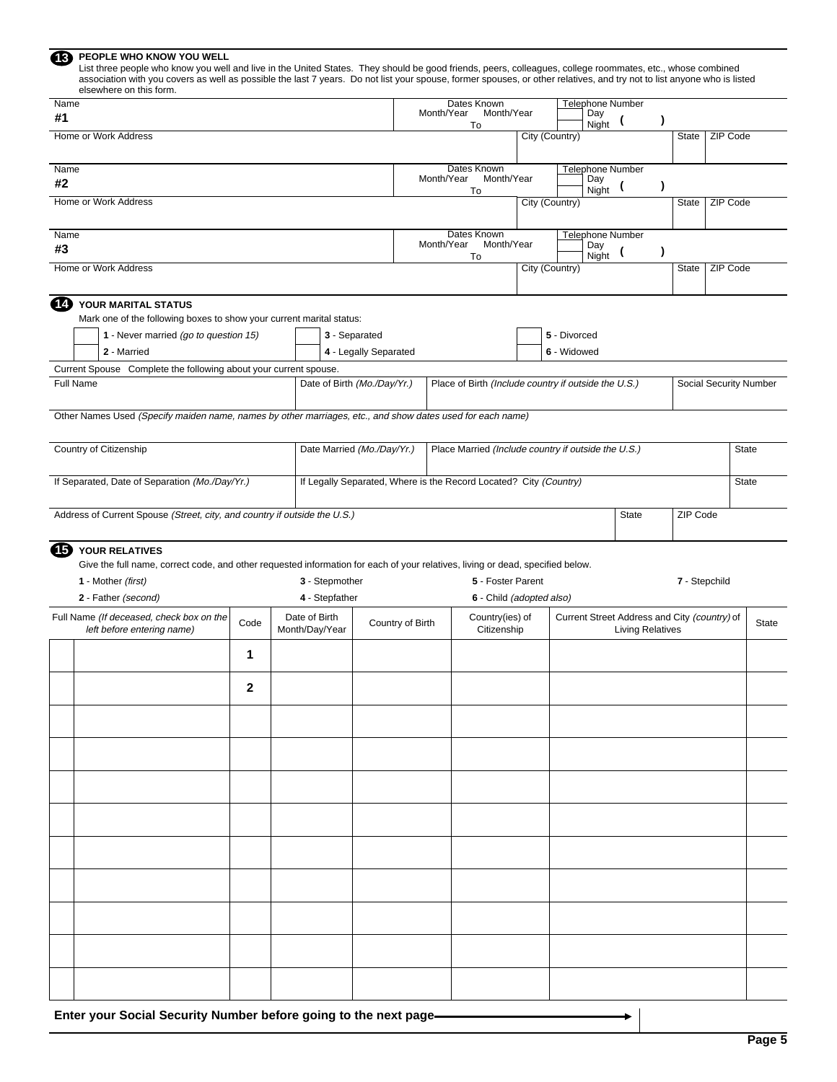| PEOPLE WHO KNOW YOU WELL<br>(13)<br>List three people who know you well and live in the United States. They should be good friends, peers, colleagues, college roommates, etc., whose combined<br>association with you covers as well as possible the last 7 years. Do not list your spouse, former spouses, or other relatives, and try not to list anyone who is listed<br>elsewhere on this form. |              |                                 |                                                                   |            |                                                      |                |       |                                                                         |           |               |                 |                        |
|------------------------------------------------------------------------------------------------------------------------------------------------------------------------------------------------------------------------------------------------------------------------------------------------------------------------------------------------------------------------------------------------------|--------------|---------------------------------|-------------------------------------------------------------------|------------|------------------------------------------------------|----------------|-------|-------------------------------------------------------------------------|-----------|---------------|-----------------|------------------------|
| Name<br>#1                                                                                                                                                                                                                                                                                                                                                                                           |              |                                 |                                                                   | Month/Year | Dates Known<br>Month/Year                            |                | Day   | <b>Telephone Number</b>                                                 | $\lambda$ |               |                 |                        |
| Home or Work Address                                                                                                                                                                                                                                                                                                                                                                                 |              |                                 |                                                                   |            | To                                                   | City (Country) | Night |                                                                         |           | State         | ZIP Code        |                        |
| Name<br>#2                                                                                                                                                                                                                                                                                                                                                                                           |              |                                 |                                                                   | Month/Year | Dates Known<br>Month/Year                            |                | Day   | <b>Telephone Number</b>                                                 |           |               |                 |                        |
| Home or Work Address                                                                                                                                                                                                                                                                                                                                                                                 |              |                                 |                                                                   |            | To                                                   | City (Country) | Night |                                                                         |           | State         | ZIP Code        |                        |
| Name<br>#3                                                                                                                                                                                                                                                                                                                                                                                           |              |                                 |                                                                   | Month/Year | Dates Known<br>Month/Year                            |                | Day   | <b>Telephone Number</b>                                                 |           |               |                 |                        |
| Home or Work Address                                                                                                                                                                                                                                                                                                                                                                                 |              |                                 |                                                                   |            | To                                                   | City (Country) | Night |                                                                         |           | State         | <b>ZIP Code</b> |                        |
| Ð<br>YOUR MARITAL STATUS                                                                                                                                                                                                                                                                                                                                                                             |              |                                 |                                                                   |            |                                                      |                |       |                                                                         |           |               |                 |                        |
| Mark one of the following boxes to show your current marital status:<br>1 - Never married (go to question 15)                                                                                                                                                                                                                                                                                        |              |                                 | 3 - Separated                                                     |            |                                                      | 5 - Divorced   |       |                                                                         |           |               |                 |                        |
| 2 - Married                                                                                                                                                                                                                                                                                                                                                                                          |              |                                 | 4 - Legally Separated                                             |            |                                                      | 6 - Widowed    |       |                                                                         |           |               |                 |                        |
| Current Spouse Complete the following about your current spouse.                                                                                                                                                                                                                                                                                                                                     |              |                                 |                                                                   |            |                                                      |                |       |                                                                         |           |               |                 |                        |
| <b>Full Name</b>                                                                                                                                                                                                                                                                                                                                                                                     |              |                                 | Date of Birth (Mo./Day/Yr.)                                       |            | Place of Birth (Include country if outside the U.S.) |                |       |                                                                         |           |               |                 | Social Security Number |
| Other Names Used (Specify maiden name, names by other marriages, etc., and show dates used for each name)                                                                                                                                                                                                                                                                                            |              |                                 |                                                                   |            |                                                      |                |       |                                                                         |           |               |                 |                        |
| Country of Citizenship                                                                                                                                                                                                                                                                                                                                                                               |              |                                 | Date Married (Mo./Day/Yr.)                                        |            | Place Married (Include country if outside the U.S.)  |                |       |                                                                         |           |               |                 | <b>State</b>           |
| If Separated, Date of Separation (Mo./Day/Yr.)                                                                                                                                                                                                                                                                                                                                                       |              |                                 | If Legally Separated, Where is the Record Located? City (Country) |            |                                                      |                |       |                                                                         |           |               |                 | <b>State</b>           |
| Address of Current Spouse (Street, city, and country if outside the U.S.)                                                                                                                                                                                                                                                                                                                            |              |                                 |                                                                   |            |                                                      |                |       | <b>State</b>                                                            |           | ZIP Code      |                 |                        |
| <b>15</b> YOUR RELATIVES                                                                                                                                                                                                                                                                                                                                                                             |              |                                 |                                                                   |            |                                                      |                |       |                                                                         |           |               |                 |                        |
| Give the full name, correct code, and other requested information for each of your relatives, living or dead, specified below.                                                                                                                                                                                                                                                                       |              | 3 - Stepmother                  |                                                                   |            | 5 - Foster Parent                                    |                |       |                                                                         |           | 7 - Stepchild |                 |                        |
| 1 - Mother (first)<br>2 - Father (second)                                                                                                                                                                                                                                                                                                                                                            |              | 4 - Stepfather                  |                                                                   |            | 6 - Child (adopted also)                             |                |       |                                                                         |           |               |                 |                        |
| Full Name (If deceased, check box on the<br>left before entering name)                                                                                                                                                                                                                                                                                                                               | Code         | Date of Birth<br>Month/Day/Year | Country of Birth                                                  |            | Country(ies) of<br>Citizenship                       |                |       | Current Street Address and City (country) of<br><b>Living Relatives</b> |           |               |                 | State                  |
|                                                                                                                                                                                                                                                                                                                                                                                                      | 1            |                                 |                                                                   |            |                                                      |                |       |                                                                         |           |               |                 |                        |
|                                                                                                                                                                                                                                                                                                                                                                                                      | $\mathbf{2}$ |                                 |                                                                   |            |                                                      |                |       |                                                                         |           |               |                 |                        |
|                                                                                                                                                                                                                                                                                                                                                                                                      |              |                                 |                                                                   |            |                                                      |                |       |                                                                         |           |               |                 |                        |
|                                                                                                                                                                                                                                                                                                                                                                                                      |              |                                 |                                                                   |            |                                                      |                |       |                                                                         |           |               |                 |                        |
|                                                                                                                                                                                                                                                                                                                                                                                                      |              |                                 |                                                                   |            |                                                      |                |       |                                                                         |           |               |                 |                        |
|                                                                                                                                                                                                                                                                                                                                                                                                      |              |                                 |                                                                   |            |                                                      |                |       |                                                                         |           |               |                 |                        |
|                                                                                                                                                                                                                                                                                                                                                                                                      |              |                                 |                                                                   |            |                                                      |                |       |                                                                         |           |               |                 |                        |
|                                                                                                                                                                                                                                                                                                                                                                                                      |              |                                 |                                                                   |            |                                                      |                |       |                                                                         |           |               |                 |                        |
|                                                                                                                                                                                                                                                                                                                                                                                                      |              |                                 |                                                                   |            |                                                      |                |       |                                                                         |           |               |                 |                        |
|                                                                                                                                                                                                                                                                                                                                                                                                      |              |                                 |                                                                   |            |                                                      |                |       |                                                                         |           |               |                 |                        |
|                                                                                                                                                                                                                                                                                                                                                                                                      |              |                                 |                                                                   |            |                                                      |                |       |                                                                         |           |               |                 |                        |
|                                                                                                                                                                                                                                                                                                                                                                                                      |              |                                 |                                                                   |            |                                                      |                |       |                                                                         |           |               |                 |                        |

**Enter your Social Security Number before going to the next page**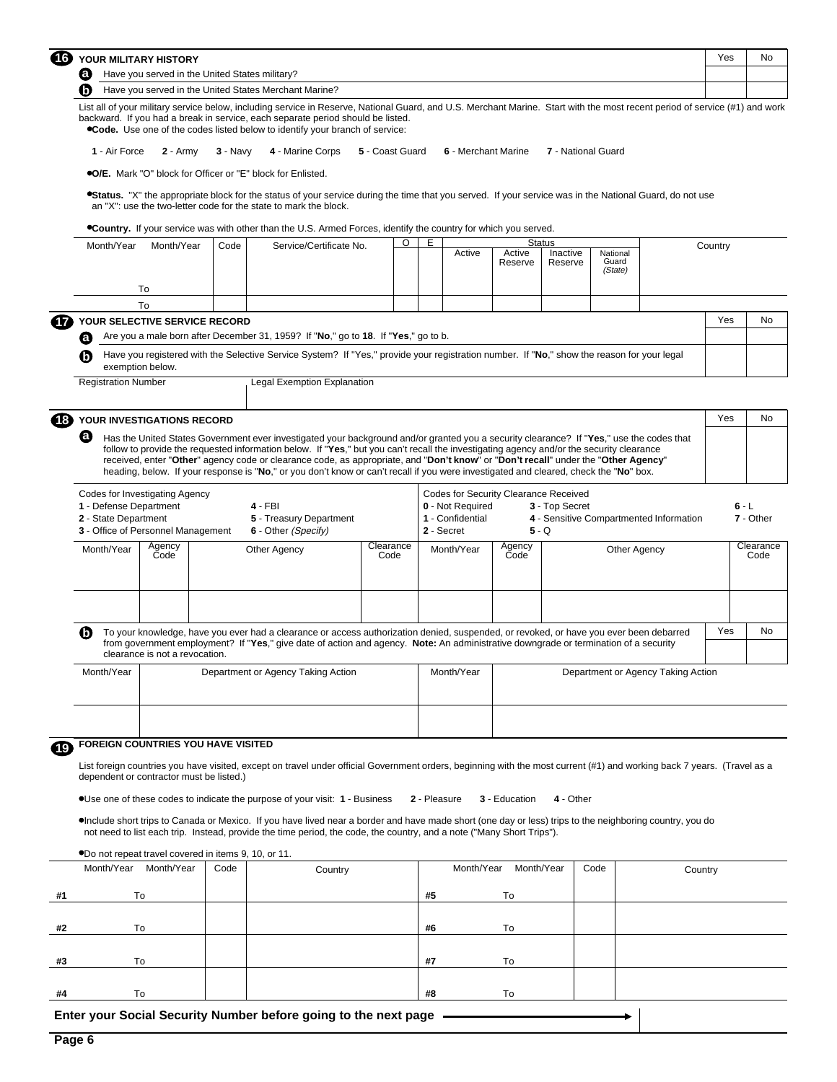| $\mathbf G$ | YOUR MILITARY HISTORY                                 | Yes | No |
|-------------|-------------------------------------------------------|-----|----|
|             | Have you served in the United States military?        |     |    |
|             | Have you served in the United States Merchant Marine? |     |    |
|             |                                                       |     |    |

List all of your military service below, including service in Reserve, National Guard, and U.S. Merchant Marine. Start with the most recent period of service (#1) and work backward. If you had a break in service, each separate period should be listed. **Code.** Use one of the codes listed below to identify your branch of service:

|  |  | 1 - Air Force 2 - Army 3 - Navy 4 - Marine Corps 5 - Coast Guard 6 - Merchant Marine 7 - National Guard |  |
|--|--|---------------------------------------------------------------------------------------------------------|--|
|  |  |                                                                                                         |  |

**O/E.** Mark "O" block for Officer or "E" block for Enlisted.

**\*Status.** "X" the appropriate block for the status of your service during the time that you served. If your service was in the National Guard, do not use an "X": use the two-letter code for the state to mark the block.

**Country.** If your service was with other than the U.S. Armed Forces, identify the country for which you served.

|                     | Month/Year                                     | <b>Status</b><br>O<br>Е<br>Month/Year<br>Service/Certificate No.<br>Code<br>Active<br>Active<br>Inactive<br>National<br>Guard<br>Reserve<br>Reserve<br>(State) |      |                                                                                                                                                                                                                                                                                                                                                                                                                                                                                                                                                                     |                   |    |                                                                                             |                       |                         |              |                                         | Country |                      |  |  |
|---------------------|------------------------------------------------|----------------------------------------------------------------------------------------------------------------------------------------------------------------|------|---------------------------------------------------------------------------------------------------------------------------------------------------------------------------------------------------------------------------------------------------------------------------------------------------------------------------------------------------------------------------------------------------------------------------------------------------------------------------------------------------------------------------------------------------------------------|-------------------|----|---------------------------------------------------------------------------------------------|-----------------------|-------------------------|--------------|-----------------------------------------|---------|----------------------|--|--|
|                     |                                                | To                                                                                                                                                             |      |                                                                                                                                                                                                                                                                                                                                                                                                                                                                                                                                                                     |                   |    |                                                                                             |                       |                         |              |                                         |         |                      |  |  |
|                     |                                                | To                                                                                                                                                             |      |                                                                                                                                                                                                                                                                                                                                                                                                                                                                                                                                                                     |                   |    |                                                                                             |                       |                         |              |                                         |         |                      |  |  |
|                     |                                                | YOUR SELECTIVE SERVICE RECORD                                                                                                                                  |      |                                                                                                                                                                                                                                                                                                                                                                                                                                                                                                                                                                     |                   |    |                                                                                             |                       |                         |              |                                         | Yes     | No                   |  |  |
|                     | Θ                                              |                                                                                                                                                                |      | Are you a male born after December 31, 1959? If "No," go to 18. If "Yes," go to b.                                                                                                                                                                                                                                                                                                                                                                                                                                                                                  |                   |    |                                                                                             |                       |                         |              |                                         |         |                      |  |  |
|                     | 6                                              | exemption below.                                                                                                                                               |      | Have you registered with the Selective Service System? If "Yes," provide your registration number. If "No," show the reason for your legal                                                                                                                                                                                                                                                                                                                                                                                                                          |                   |    |                                                                                             |                       |                         |              |                                         |         |                      |  |  |
|                     | <b>Registration Number</b>                     |                                                                                                                                                                |      | Legal Exemption Explanation                                                                                                                                                                                                                                                                                                                                                                                                                                                                                                                                         |                   |    |                                                                                             |                       |                         |              |                                         |         |                      |  |  |
| $\left( 18 \right)$ |                                                | YOUR INVESTIGATIONS RECORD                                                                                                                                     |      |                                                                                                                                                                                                                                                                                                                                                                                                                                                                                                                                                                     |                   |    |                                                                                             |                       |                         |              |                                         | Yes     | No                   |  |  |
|                     | Ø                                              |                                                                                                                                                                |      | Has the United States Government ever investigated your background and/or granted you a security clearance? If "Yes," use the codes that<br>follow to provide the requested information below. If "Yes," but you can't recall the investigating agency and/or the security clearance<br>received, enter "Other" agency code or clearance code, as appropriate, and "Don't know" or "Don't recall" under the "Other Agency"<br>heading, below. If your response is "No," or you don't know or can't recall if you were investigated and cleared, check the "No" box. |                   |    |                                                                                             |                       |                         |              |                                         |         |                      |  |  |
|                     | 1 - Defense Department<br>2 - State Department | Codes for Investigating Agency<br>3 - Office of Personnel Management                                                                                           |      | 4 - FBI<br>5 - Treasury Department<br>6 - Other (Specify)                                                                                                                                                                                                                                                                                                                                                                                                                                                                                                           |                   |    | Codes for Security Clearance Received<br>0 - Not Required<br>1 - Confidential<br>2 - Secret |                       | 3 - Top Secret<br>5 - Q |              | 4 - Sensitive Compartmented Information |         | $6 - L$<br>7 - Other |  |  |
|                     | Month/Year                                     | Agency<br>Code                                                                                                                                                 |      | Other Agency                                                                                                                                                                                                                                                                                                                                                                                                                                                                                                                                                        | Clearance<br>Code |    | Month/Year                                                                                  | Agency<br>Code        |                         | Other Agency |                                         |         | Clearance<br>Code    |  |  |
|                     | 6                                              |                                                                                                                                                                |      | To your knowledge, have you ever had a clearance or access authorization denied, suspended, or revoked, or have you ever been debarred<br>from government employment? If "Yes," give date of action and agency. Note: An administrative downgrade or termination of a security                                                                                                                                                                                                                                                                                      |                   |    |                                                                                             |                       |                         |              |                                         | Yes     | No                   |  |  |
|                     | Month/Year                                     | clearance is not a revocation.                                                                                                                                 |      | Department or Agency Taking Action                                                                                                                                                                                                                                                                                                                                                                                                                                                                                                                                  |                   |    | Month/Year                                                                                  |                       |                         |              | Department or Agency Taking Action      |         |                      |  |  |
| $\sqrt{19}$         |                                                | FOREIGN COUNTRIES YOU HAVE VISITED                                                                                                                             |      |                                                                                                                                                                                                                                                                                                                                                                                                                                                                                                                                                                     |                   |    |                                                                                             |                       |                         |              |                                         |         |                      |  |  |
|                     |                                                | dependent or contractor must be listed.)                                                                                                                       |      | List foreign countries you have visited, except on travel under official Government orders, beginning with the most current (#1) and working back 7 years. (Travel as a                                                                                                                                                                                                                                                                                                                                                                                             |                   |    |                                                                                             |                       |                         |              |                                         |         |                      |  |  |
|                     |                                                |                                                                                                                                                                |      | .Use one of these codes to indicate the purpose of your visit: 1 - Business                                                                                                                                                                                                                                                                                                                                                                                                                                                                                         |                   |    | 2 - Pleasure                                                                                | 3 - Education         | 4 - Other               |              |                                         |         |                      |  |  |
|                     |                                                |                                                                                                                                                                |      | •Include short trips to Canada or Mexico. If you have lived near a border and have made short (one day or less) trips to the neighboring country, you do<br>not need to list each trip. Instead, provide the time period, the code, the country, and a note ("Many Short Trips").                                                                                                                                                                                                                                                                                   |                   |    |                                                                                             |                       |                         |              |                                         |         |                      |  |  |
|                     |                                                | .10, or 11. ODD not repeat travel covered in items 9, 10, or 11.                                                                                               |      |                                                                                                                                                                                                                                                                                                                                                                                                                                                                                                                                                                     |                   |    |                                                                                             |                       |                         |              |                                         |         |                      |  |  |
|                     | Month/Year                                     | Month/Year                                                                                                                                                     | Code | Country                                                                                                                                                                                                                                                                                                                                                                                                                                                                                                                                                             |                   |    |                                                                                             | Month/Year Month/Year |                         | Code         | Country                                 |         |                      |  |  |
| #1                  |                                                | To                                                                                                                                                             |      |                                                                                                                                                                                                                                                                                                                                                                                                                                                                                                                                                                     |                   | #5 |                                                                                             | To                    |                         |              |                                         |         |                      |  |  |
| #2                  |                                                | To                                                                                                                                                             |      |                                                                                                                                                                                                                                                                                                                                                                                                                                                                                                                                                                     |                   | #6 |                                                                                             | To                    |                         |              |                                         |         |                      |  |  |
|                     |                                                |                                                                                                                                                                |      |                                                                                                                                                                                                                                                                                                                                                                                                                                                                                                                                                                     |                   |    |                                                                                             |                       |                         |              |                                         |         |                      |  |  |
| #3                  |                                                | To                                                                                                                                                             |      |                                                                                                                                                                                                                                                                                                                                                                                                                                                                                                                                                                     |                   | #7 |                                                                                             | To                    |                         |              |                                         |         |                      |  |  |

**#8** To

**Enter your Social Security Number before going to the next page** 

**#4** To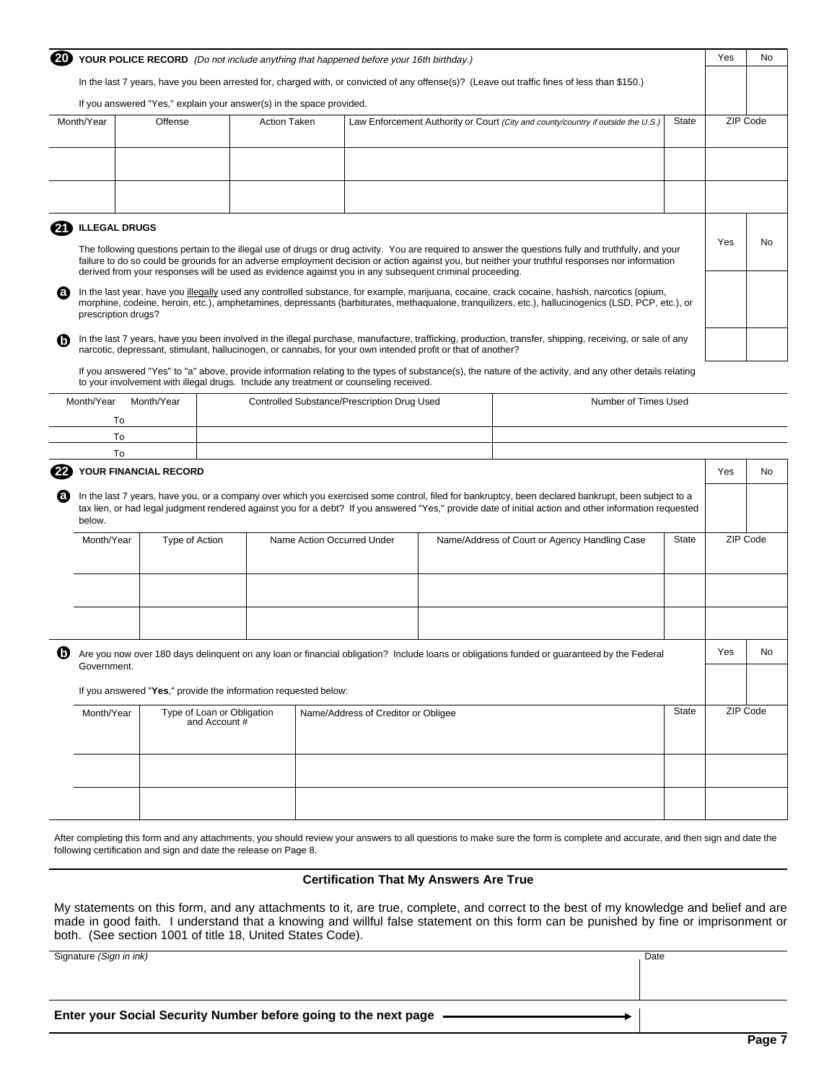|                          |                       | YOUR POLICE RECORD (Do not include anything that happened before your 16th birthday.)                        |                            |                                             |                                                                                                                                                                                                                                                                                                              |              | Yes | No       |
|--------------------------|-----------------------|--------------------------------------------------------------------------------------------------------------|----------------------------|---------------------------------------------|--------------------------------------------------------------------------------------------------------------------------------------------------------------------------------------------------------------------------------------------------------------------------------------------------------------|--------------|-----|----------|
|                          |                       |                                                                                                              |                            |                                             | In the last 7 years, have you been arrested for, charged with, or convicted of any offense(s)? (Leave out traffic fines of less than \$150.)                                                                                                                                                                 |              |     |          |
|                          |                       | If you answered "Yes," explain your answer(s) in the space provided.                                         |                            |                                             |                                                                                                                                                                                                                                                                                                              |              |     |          |
| Month/Year               | Offense               |                                                                                                              | <b>Action Taken</b>        |                                             | Law Enforcement Authority or Court (City and county/country if outside the U.S.)                                                                                                                                                                                                                             | State        |     | ZIP Code |
|                          |                       |                                                                                                              |                            |                                             |                                                                                                                                                                                                                                                                                                              |              |     |          |
|                          |                       |                                                                                                              |                            |                                             |                                                                                                                                                                                                                                                                                                              |              |     |          |
| <b>ILLEGAL DRUGS</b>     |                       |                                                                                                              |                            |                                             |                                                                                                                                                                                                                                                                                                              |              |     |          |
|                          |                       | derived from your responses will be used as evidence against you in any subsequent criminal proceeding.      |                            |                                             | The following questions pertain to the illegal use of drugs or drug activity. You are required to answer the questions fully and truthfully, and your<br>failure to do so could be grounds for an adverse employment decision or action against you, but neither your truthful responses nor information     |              | Yes | No       |
| a<br>prescription drugs? |                       |                                                                                                              |                            |                                             | In the last year, have you illegally used any controlled substance, for example, marijuana, cocaine, crack cocaine, hashish, narcotics (opium,<br>morphine, codeine, heroin, etc.), amphetamines, depressants (barbiturates, methaqualone, tranquilizers, etc.), hallucinogenics (LSD, PCP, etc.), or        |              |     |          |
|                          |                       | narcotic, depressant, stimulant, hallucinogen, or cannabis, for your own intended profit or that of another? |                            |                                             | In the last 7 years, have you been involved in the illegal purchase, manufacture, trafficking, production, transfer, shipping, receiving, or sale of any                                                                                                                                                     |              |     |          |
|                          |                       | to your involvement with illegal drugs. Include any treatment or counseling received.                        |                            |                                             | If you answered "Yes" to "a" above, provide information relating to the types of substance(s), the nature of the activity, and any other details relating                                                                                                                                                    |              |     |          |
| Month/Year<br>To         | Month/Year            |                                                                                                              |                            | Controlled Substance/Prescription Drug Used | Number of Times Used                                                                                                                                                                                                                                                                                         |              |     |          |
| To                       |                       |                                                                                                              |                            |                                             |                                                                                                                                                                                                                                                                                                              |              |     |          |
| To                       |                       |                                                                                                              |                            |                                             |                                                                                                                                                                                                                                                                                                              |              |     |          |
|                          | YOUR FINANCIAL RECORD |                                                                                                              |                            |                                             |                                                                                                                                                                                                                                                                                                              |              | Yes | No.      |
| below.                   |                       |                                                                                                              |                            |                                             | In the last 7 years, have you, or a company over which you exercised some control, filed for bankruptcy, been declared bankrupt, been subject to a<br>tax lien, or had legal judgment rendered against you for a debt? If you answered "Yes," provide date of initial action and other information requested |              |     |          |
| Month/Year               | Type of Action        |                                                                                                              | Name Action Occurred Under |                                             | Name/Address of Court or Agency Handling Case                                                                                                                                                                                                                                                                | <b>State</b> |     | ZIP Code |
|                          |                       |                                                                                                              |                            |                                             |                                                                                                                                                                                                                                                                                                              |              |     |          |
|                          |                       |                                                                                                              |                            |                                             |                                                                                                                                                                                                                                                                                                              |              |     |          |
| v                        |                       |                                                                                                              |                            |                                             | Are you now over 180 days delinguent on any loan or financial obligation? Include loans or obligations funded or guaranteed by the Federal                                                                                                                                                                   |              | Yes | No.      |
| Government.              |                       |                                                                                                              |                            |                                             |                                                                                                                                                                                                                                                                                                              |              |     |          |
|                          |                       | If you answered "Yes," provide the information requested below:                                              |                            |                                             |                                                                                                                                                                                                                                                                                                              |              |     |          |
| Month/Year               |                       | Type of Loan or Obligation<br>and Account #                                                                  |                            | Name/Address of Creditor or Obligee         |                                                                                                                                                                                                                                                                                                              | <b>State</b> |     | ZIP Code |
|                          |                       |                                                                                                              |                            |                                             |                                                                                                                                                                                                                                                                                                              |              |     |          |
|                          |                       |                                                                                                              |                            |                                             |                                                                                                                                                                                                                                                                                                              |              |     |          |
|                          |                       |                                                                                                              |                            |                                             |                                                                                                                                                                                                                                                                                                              |              |     |          |

After completing this form and any attachments, you should review your answers to all questions to make sure the form is complete and accurate, and then sign and date the following certification and sign and date the release on Page 8.

### **Certification That My Answers Are True**

My statements on this form, and any attachments to it, are true, complete, and correct to the best of my knowledge and belief and are made in good faith. I understand that a knowing and willful false statement on this form can be punished by fine or imprisonment or both. (See section 1001 of title 18, United States Code).

Signature (Sign in ink) Date

**Enter your Social Security Number before going to the next page**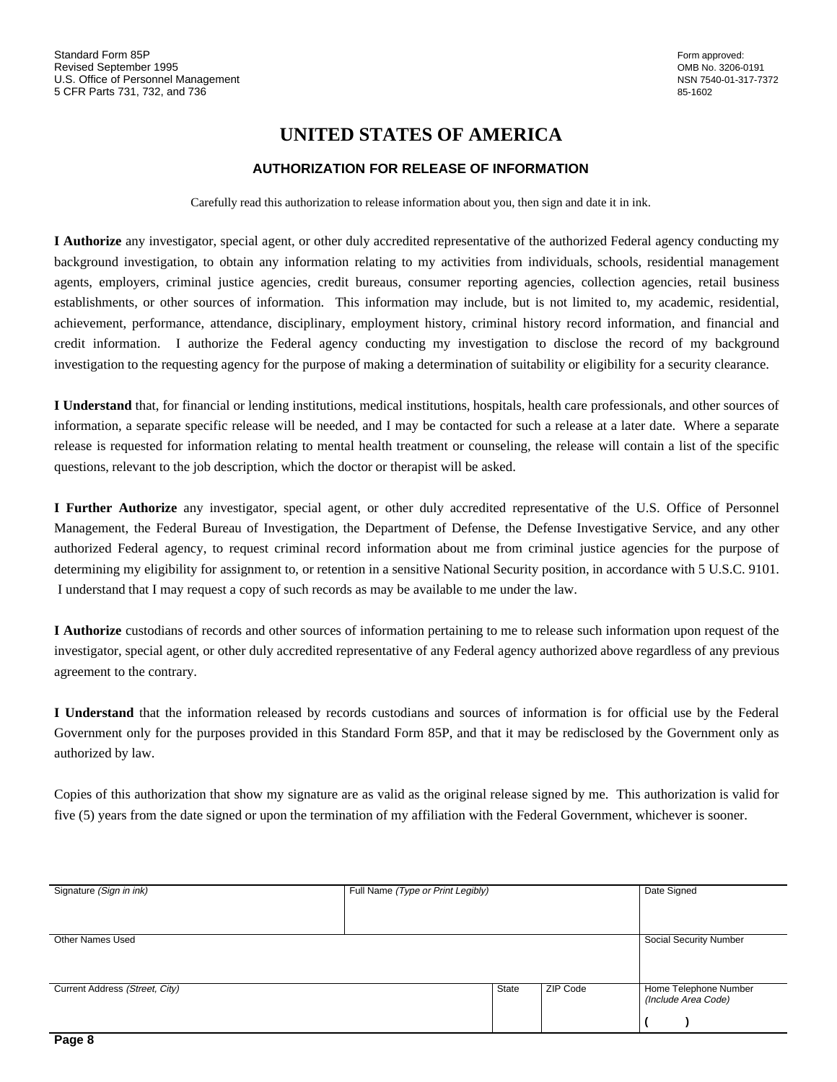# **UNITED STATES OF AMERICA**

## **AUTHORIZATION FOR RELEASE OF INFORMATION**

Carefully read this authorization to release information about you, then sign and date it in ink.

**I Authorize** any investigator, special agent, or other duly accredited representative of the authorized Federal agency conducting my background investigation, to obtain any information relating to my activities from individuals, schools, residential management agents, employers, criminal justice agencies, credit bureaus, consumer reporting agencies, collection agencies, retail business establishments, or other sources of information. This information may include, but is not limited to, my academic, residential, achievement, performance, attendance, disciplinary, employment history, criminal history record information, and financial and credit information. I authorize the Federal agency conducting my investigation to disclose the record of my background investigation to the requesting agency for the purpose of making a determination of suitability or eligibility for a security clearance.

**I Understand** that, for financial or lending institutions, medical institutions, hospitals, health care professionals, and other sources of information, a separate specific release will be needed, and I may be contacted for such a release at a later date. Where a separate release is requested for information relating to mental health treatment or counseling, the release will contain a list of the specific questions, relevant to the job description, which the doctor or therapist will be asked.

**I Further Authorize** any investigator, special agent, or other duly accredited representative of the U.S. Office of Personnel Management, the Federal Bureau of Investigation, the Department of Defense, the Defense Investigative Service, and any other authorized Federal agency, to request criminal record information about me from criminal justice agencies for the purpose of determining my eligibility for assignment to, or retention in a sensitive National Security position, in accordance with 5 U.S.C. 9101. I understand that I may request a copy of such records as may be available to me under the law.

**I Authorize** custodians of records and other sources of information pertaining to me to release such information upon request of the investigator, special agent, or other duly accredited representative of any Federal agency authorized above regardless of any previous agreement to the contrary.

**I Understand** that the information released by records custodians and sources of information is for official use by the Federal Government only for the purposes provided in this Standard Form 85P, and that it may be redisclosed by the Government only as authorized by law.

Copies of this authorization that show my signature are as valid as the original release signed by me. This authorization is valid for five (5) years from the date signed or upon the termination of my affiliation with the Federal Government, whichever is sooner.

| Signature (Sign in ink)        | Full Name (Type or Print Legibly) |       |          | Date Signed                                  |
|--------------------------------|-----------------------------------|-------|----------|----------------------------------------------|
|                                |                                   |       |          |                                              |
| <b>Other Names Used</b>        |                                   |       |          | Social Security Number                       |
| Current Address (Street, City) |                                   | State | ZIP Code | Home Telephone Number<br>(Include Area Code) |